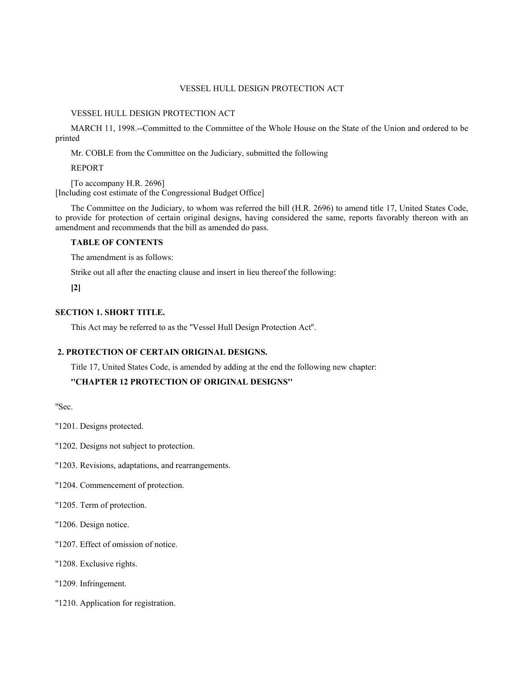## VESSEL HULL DESIGN PROTECTION ACT

### VESSEL HULL DESIGN PROTECTION ACT

MARCH 11, 1998.--Committed to the Committee of the Whole House on the State of the Union and ordered to be printed

Mr. COBLE from the Committee on the Judiciary, submitted the following

REPORT

[To accompany H.R. 2696] [Including cost estimate of the Congressional Budget Office]

The Committee on the Judiciary, to whom was referred the bill (H.R. 2696) to amend title 17, United States Code, to provide for protection of certain original designs, having considered the same, reports favorably thereon with an amendment and recommends that the bill as amended do pass.

# **TABLE OF CONTENTS**

The amendment is as follows:

Strike out all after the enacting clause and insert in lieu thereof the following:

**[2]**

# **SECTION 1. SHORT TITLE.**

This Act may be referred to as the ''Vessel Hull Design Protection Act''.

# **2. PROTECTION OF CERTAIN ORIGINAL DESIGNS.**

Title 17, United States Code, is amended by adding at the end the following new chapter:

# **''CHAPTER 12 PROTECTION OF ORIGINAL DESIGNS''**

''Sec.

''1201. Designs protected.

''1202. Designs not subject to protection.

''1203. Revisions, adaptations, and rearrangements.

''1204. Commencement of protection.

''1205. Term of protection.

''1206. Design notice.

''1207. Effect of omission of notice.

''1208. Exclusive rights.

''1209. Infringement.

''1210. Application for registration.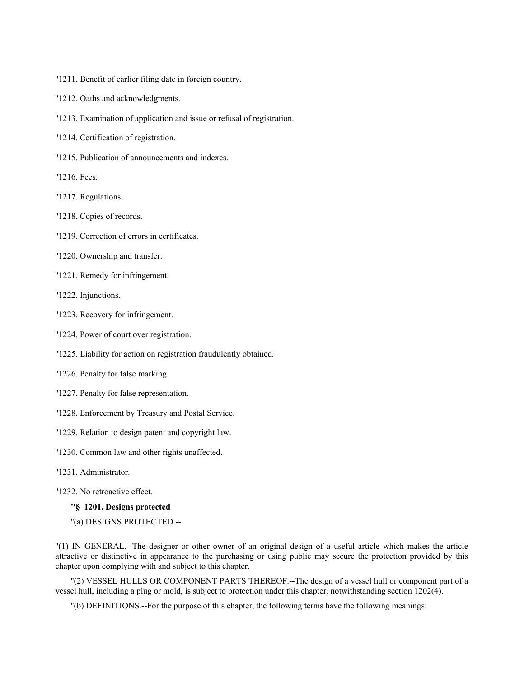- ''1211. Benefit of earlier filing date in foreign country.
- ''1212. Oaths and acknowledgments.
- ''1213. Examination of application and issue or refusal of registration.
- ''1214. Certification of registration.
- ''1215. Publication of announcements and indexes.
- ''1216. Fees.
- ''1217. Regulations.
- ''1218. Copies of records.
- ''1219. Correction of errors in certificates.
- ''1220. Ownership and transfer.
- ''1221. Remedy for infringement.
- ''1222. Injunctions.
- ''1223. Recovery for infringement.
- ''1224. Power of court over registration.
- ''1225. Liability for action on registration fraudulently obtained.
- ''1226. Penalty for false marking.
- ''1227. Penalty for false representation.
- "1228. Enforcement by Treasury and Postal Service.
- ''1229. Relation to design patent and copyright law.
- ''1230. Common law and other rights unaffected.
- ''1231. Administrator.
- ''1232. No retroactive effect.
	- **''§ 1201. Designs protected**
	- ''(a) DESIGNS PROTECTED.--

''(1) IN GENERAL.--The designer or other owner of an original design of a useful article which makes the article attractive or distinctive in appearance to the purchasing or using public may secure the protection provided by this chapter upon complying with and subject to this chapter.

''(2) VESSEL HULLS OR COMPONENT PARTS THEREOF.--The design of a vessel hull or component part of a vessel hull, including a plug or mold, is subject to protection under this chapter, notwithstanding section 1202(4).

''(b) DEFINITIONS.--For the purpose of this chapter, the following terms have the following meanings: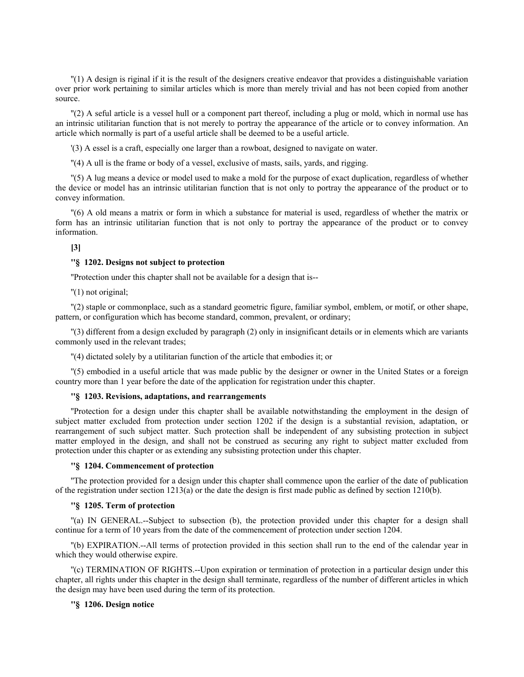''(1) A design is riginal if it is the result of the designers creative endeavor that provides a distinguishable variation over prior work pertaining to similar articles which is more than merely trivial and has not been copied from another source.

''(2) A seful article is a vessel hull or a component part thereof, including a plug or mold, which in normal use has an intrinsic utilitarian function that is not merely to portray the appearance of the article or to convey information. An article which normally is part of a useful article shall be deemed to be a useful article.

'(3) A essel is a craft, especially one larger than a rowboat, designed to navigate on water.

''(4) A ull is the frame or body of a vessel, exclusive of masts, sails, yards, and rigging.

''(5) A lug means a device or model used to make a mold for the purpose of exact duplication, regardless of whether the device or model has an intrinsic utilitarian function that is not only to portray the appearance of the product or to convey information.

''(6) A old means a matrix or form in which a substance for material is used, regardless of whether the matrix or form has an intrinsic utilitarian function that is not only to portray the appearance of the product or to convey information.

#### **[3]**

### **''§ 1202. Designs not subject to protection**

''Protection under this chapter shall not be available for a design that is--

''(1) not original;

''(2) staple or commonplace, such as a standard geometric figure, familiar symbol, emblem, or motif, or other shape, pattern, or configuration which has become standard, common, prevalent, or ordinary;

''(3) different from a design excluded by paragraph (2) only in insignificant details or in elements which are variants commonly used in the relevant trades;

''(4) dictated solely by a utilitarian function of the article that embodies it; or

''(5) embodied in a useful article that was made public by the designer or owner in the United States or a foreign country more than 1 year before the date of the application for registration under this chapter.

#### **''§ 1203. Revisions, adaptations, and rearrangements**

''Protection for a design under this chapter shall be available notwithstanding the employment in the design of subject matter excluded from protection under section 1202 if the design is a substantial revision, adaptation, or rearrangement of such subject matter. Such protection shall be independent of any subsisting protection in subject matter employed in the design, and shall not be construed as securing any right to subject matter excluded from protection under this chapter or as extending any subsisting protection under this chapter.

# **''§ 1204. Commencement of protection**

''The protection provided for a design under this chapter shall commence upon the earlier of the date of publication of the registration under section 1213(a) or the date the design is first made public as defined by section 1210(b).

#### **''§ 1205. Term of protection**

''(a) IN GENERAL.--Subject to subsection (b), the protection provided under this chapter for a design shall continue for a term of 10 years from the date of the commencement of protection under section 1204.

''(b) EXPIRATION.--All terms of protection provided in this section shall run to the end of the calendar year in which they would otherwise expire.

''(c) TERMINATION OF RIGHTS.--Upon expiration or termination of protection in a particular design under this chapter, all rights under this chapter in the design shall terminate, regardless of the number of different articles in which the design may have been used during the term of its protection.

## **''§ 1206. Design notice**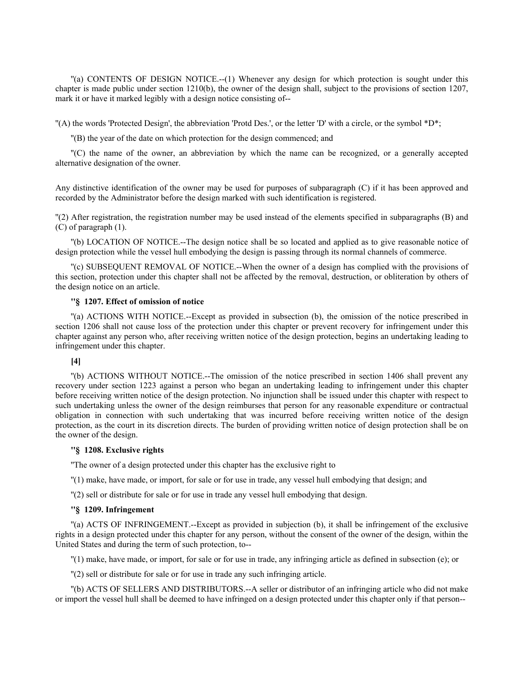''(a) CONTENTS OF DESIGN NOTICE.--(1) Whenever any design for which protection is sought under this chapter is made public under section 1210(b), the owner of the design shall, subject to the provisions of section 1207, mark it or have it marked legibly with a design notice consisting of--

''(A) the words 'Protected Design', the abbreviation 'Protd Des.', or the letter 'D' with a circle, or the symbol \*D\*;

''(B) the year of the date on which protection for the design commenced; and

''(C) the name of the owner, an abbreviation by which the name can be recognized, or a generally accepted alternative designation of the owner.

Any distinctive identification of the owner may be used for purposes of subparagraph (C) if it has been approved and recorded by the Administrator before the design marked with such identification is registered.

''(2) After registration, the registration number may be used instead of the elements specified in subparagraphs (B) and (C) of paragraph (1).

''(b) LOCATION OF NOTICE.--The design notice shall be so located and applied as to give reasonable notice of design protection while the vessel hull embodying the design is passing through its normal channels of commerce.

''(c) SUBSEQUENT REMOVAL OF NOTICE.--When the owner of a design has complied with the provisions of this section, protection under this chapter shall not be affected by the removal, destruction, or obliteration by others of the design notice on an article.

## **''§ 1207. Effect of omission of notice**

''(a) ACTIONS WITH NOTICE.--Except as provided in subsection (b), the omission of the notice prescribed in section 1206 shall not cause loss of the protection under this chapter or prevent recovery for infringement under this chapter against any person who, after receiving written notice of the design protection, begins an undertaking leading to infringement under this chapter.

# **[4]**

''(b) ACTIONS WITHOUT NOTICE.--The omission of the notice prescribed in section 1406 shall prevent any recovery under section 1223 against a person who began an undertaking leading to infringement under this chapter before receiving written notice of the design protection. No injunction shall be issued under this chapter with respect to such undertaking unless the owner of the design reimburses that person for any reasonable expenditure or contractual obligation in connection with such undertaking that was incurred before receiving written notice of the design protection, as the court in its discretion directs. The burden of providing written notice of design protection shall be on the owner of the design.

### **''§ 1208. Exclusive rights**

''The owner of a design protected under this chapter has the exclusive right to

''(1) make, have made, or import, for sale or for use in trade, any vessel hull embodying that design; and

''(2) sell or distribute for sale or for use in trade any vessel hull embodying that design.

#### **''§ 1209. Infringement**

''(a) ACTS OF INFRINGEMENT.--Except as provided in subjection (b), it shall be infringement of the exclusive rights in a design protected under this chapter for any person, without the consent of the owner of the design, within the United States and during the term of such protection, to--

''(1) make, have made, or import, for sale or for use in trade, any infringing article as defined in subsection (e); or

''(2) sell or distribute for sale or for use in trade any such infringing article.

''(b) ACTS OF SELLERS AND DISTRIBUTORS.--A seller or distributor of an infringing article who did not make or import the vessel hull shall be deemed to have infringed on a design protected under this chapter only if that person--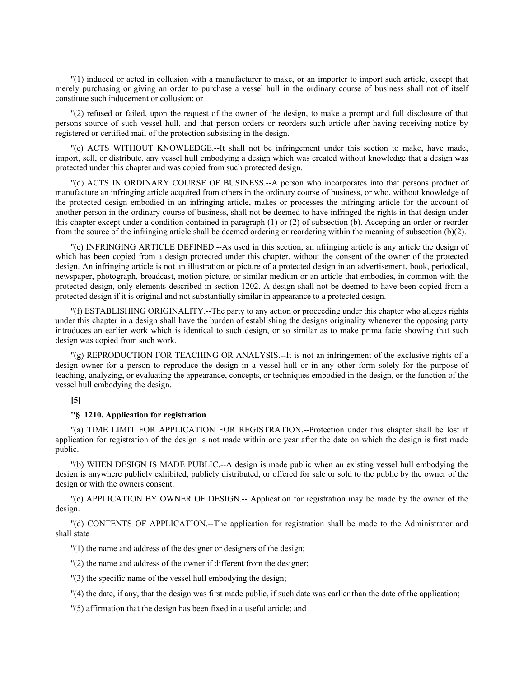''(1) induced or acted in collusion with a manufacturer to make, or an importer to import such article, except that merely purchasing or giving an order to purchase a vessel hull in the ordinary course of business shall not of itself constitute such inducement or collusion; or

''(2) refused or failed, upon the request of the owner of the design, to make a prompt and full disclosure of that persons source of such vessel hull, and that person orders or reorders such article after having receiving notice by registered or certified mail of the protection subsisting in the design.

''(c) ACTS WITHOUT KNOWLEDGE.--It shall not be infringement under this section to make, have made, import, sell, or distribute, any vessel hull embodying a design which was created without knowledge that a design was protected under this chapter and was copied from such protected design.

''(d) ACTS IN ORDINARY COURSE OF BUSINESS.--A person who incorporates into that persons product of manufacture an infringing article acquired from others in the ordinary course of business, or who, without knowledge of the protected design embodied in an infringing article, makes or processes the infringing article for the account of another person in the ordinary course of business, shall not be deemed to have infringed the rights in that design under this chapter except under a condition contained in paragraph (1) or (2) of subsection (b). Accepting an order or reorder from the source of the infringing article shall be deemed ordering or reordering within the meaning of subsection (b)(2).

''(e) INFRINGING ARTICLE DEFINED.--As used in this section, an nfringing article is any article the design of which has been copied from a design protected under this chapter, without the consent of the owner of the protected design. An infringing article is not an illustration or picture of a protected design in an advertisement, book, periodical, newspaper, photograph, broadcast, motion picture, or similar medium or an article that embodies, in common with the protected design, only elements described in section 1202. A design shall not be deemed to have been copied from a protected design if it is original and not substantially similar in appearance to a protected design.

''(f) ESTABLISHING ORIGINALITY.--The party to any action or proceeding under this chapter who alleges rights under this chapter in a design shall have the burden of establishing the designs originality whenever the opposing party introduces an earlier work which is identical to such design, or so similar as to make prima facie showing that such design was copied from such work.

''(g) REPRODUCTION FOR TEACHING OR ANALYSIS.--It is not an infringement of the exclusive rights of a design owner for a person to reproduce the design in a vessel hull or in any other form solely for the purpose of teaching, analyzing, or evaluating the appearance, concepts, or techniques embodied in the design, or the function of the vessel hull embodying the design.

# **[5]**

#### **''§ 1210. Application for registration**

''(a) TIME LIMIT FOR APPLICATION FOR REGISTRATION.--Protection under this chapter shall be lost if application for registration of the design is not made within one year after the date on which the design is first made public.

''(b) WHEN DESIGN IS MADE PUBLIC.--A design is made public when an existing vessel hull embodying the design is anywhere publicly exhibited, publicly distributed, or offered for sale or sold to the public by the owner of the design or with the owners consent.

''(c) APPLICATION BY OWNER OF DESIGN.-- Application for registration may be made by the owner of the design.

''(d) CONTENTS OF APPLICATION.--The application for registration shall be made to the Administrator and shall state

''(1) the name and address of the designer or designers of the design;

''(2) the name and address of the owner if different from the designer;

''(3) the specific name of the vessel hull embodying the design;

''(4) the date, if any, that the design was first made public, if such date was earlier than the date of the application;

''(5) affirmation that the design has been fixed in a useful article; and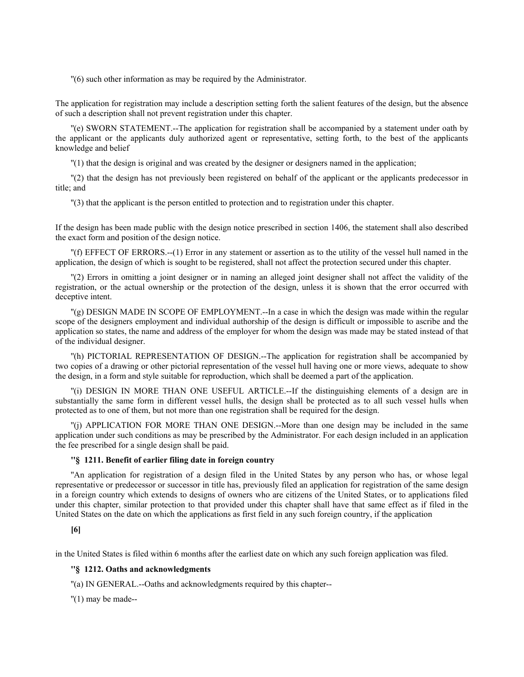''(6) such other information as may be required by the Administrator.

The application for registration may include a description setting forth the salient features of the design, but the absence of such a description shall not prevent registration under this chapter.

''(e) SWORN STATEMENT.--The application for registration shall be accompanied by a statement under oath by the applicant or the applicants duly authorized agent or representative, setting forth, to the best of the applicants knowledge and belief

''(1) that the design is original and was created by the designer or designers named in the application;

''(2) that the design has not previously been registered on behalf of the applicant or the applicants predecessor in title; and

''(3) that the applicant is the person entitled to protection and to registration under this chapter.

If the design has been made public with the design notice prescribed in section 1406, the statement shall also described the exact form and position of the design notice.

''(f) EFFECT OF ERRORS.--(1) Error in any statement or assertion as to the utility of the vessel hull named in the application, the design of which is sought to be registered, shall not affect the protection secured under this chapter.

''(2) Errors in omitting a joint designer or in naming an alleged joint designer shall not affect the validity of the registration, or the actual ownership or the protection of the design, unless it is shown that the error occurred with deceptive intent.

''(g) DESIGN MADE IN SCOPE OF EMPLOYMENT.--In a case in which the design was made within the regular scope of the designers employment and individual authorship of the design is difficult or impossible to ascribe and the application so states, the name and address of the employer for whom the design was made may be stated instead of that of the individual designer.

''(h) PICTORIAL REPRESENTATION OF DESIGN.--The application for registration shall be accompanied by two copies of a drawing or other pictorial representation of the vessel hull having one or more views, adequate to show the design, in a form and style suitable for reproduction, which shall be deemed a part of the application.

''(i) DESIGN IN MORE THAN ONE USEFUL ARTICLE.--If the distinguishing elements of a design are in substantially the same form in different vessel hulls, the design shall be protected as to all such vessel hulls when protected as to one of them, but not more than one registration shall be required for the design.

''(j) APPLICATION FOR MORE THAN ONE DESIGN.--More than one design may be included in the same application under such conditions as may be prescribed by the Administrator. For each design included in an application the fee prescribed for a single design shall be paid.

# **''§ 1211. Benefit of earlier filing date in foreign country**

''An application for registration of a design filed in the United States by any person who has, or whose legal representative or predecessor or successor in title has, previously filed an application for registration of the same design in a foreign country which extends to designs of owners who are citizens of the United States, or to applications filed under this chapter, similar protection to that provided under this chapter shall have that same effect as if filed in the United States on the date on which the applications as first field in any such foreign country, if the application

### **[6]**

in the United States is filed within 6 months after the earliest date on which any such foreign application was filed.

# **''§ 1212. Oaths and acknowledgments**

''(a) IN GENERAL.--Oaths and acknowledgments required by this chapter--

 $''(1)$  may be made--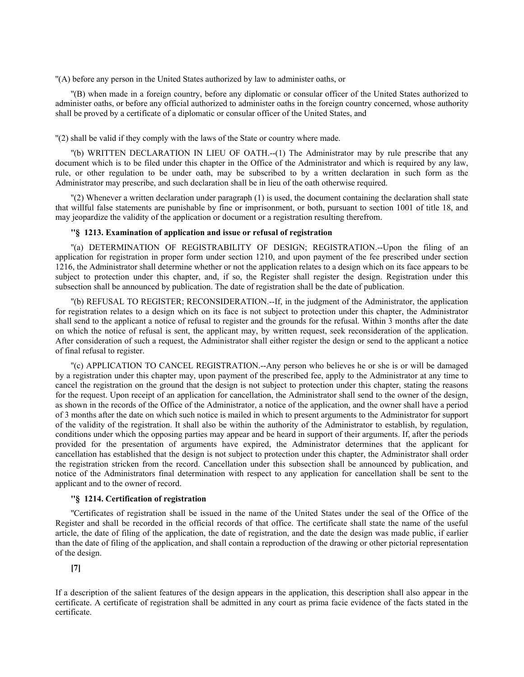''(A) before any person in the United States authorized by law to administer oaths, or

''(B) when made in a foreign country, before any diplomatic or consular officer of the United States authorized to administer oaths, or before any official authorized to administer oaths in the foreign country concerned, whose authority shall be proved by a certificate of a diplomatic or consular officer of the United States, and

''(2) shall be valid if they comply with the laws of the State or country where made.

''(b) WRITTEN DECLARATION IN LIEU OF OATH.--(1) The Administrator may by rule prescribe that any document which is to be filed under this chapter in the Office of the Administrator and which is required by any law, rule, or other regulation to be under oath, may be subscribed to by a written declaration in such form as the Administrator may prescribe, and such declaration shall be in lieu of the oath otherwise required.

''(2) Whenever a written declaration under paragraph (1) is used, the document containing the declaration shall state that willful false statements are punishable by fine or imprisonment, or both, pursuant to section 1001 of title 18, and may jeopardize the validity of the application or document or a registration resulting therefrom.

#### **''§ 1213. Examination of application and issue or refusal of registration**

''(a) DETERMINATION OF REGISTRABILITY OF DESIGN; REGISTRATION.--Upon the filing of an application for registration in proper form under section 1210, and upon payment of the fee prescribed under section 1216, the Administrator shall determine whether or not the application relates to a design which on its face appears to be subject to protection under this chapter, and, if so, the Register shall register the design. Registration under this subsection shall be announced by publication. The date of registration shall be the date of publication.

''(b) REFUSAL TO REGISTER; RECONSIDERATION.--If, in the judgment of the Administrator, the application for registration relates to a design which on its face is not subject to protection under this chapter, the Administrator shall send to the applicant a notice of refusal to register and the grounds for the refusal. Within 3 months after the date on which the notice of refusal is sent, the applicant may, by written request, seek reconsideration of the application. After consideration of such a request, the Administrator shall either register the design or send to the applicant a notice of final refusal to register.

''(c) APPLICATION TO CANCEL REGISTRATION.--Any person who believes he or she is or will be damaged by a registration under this chapter may, upon payment of the prescribed fee, apply to the Administrator at any time to cancel the registration on the ground that the design is not subject to protection under this chapter, stating the reasons for the request. Upon receipt of an application for cancellation, the Administrator shall send to the owner of the design, as shown in the records of the Office of the Administrator, a notice of the application, and the owner shall have a period of 3 months after the date on which such notice is mailed in which to present arguments to the Administrator for support of the validity of the registration. It shall also be within the authority of the Administrator to establish, by regulation, conditions under which the opposing parties may appear and be heard in support of their arguments. If, after the periods provided for the presentation of arguments have expired, the Administrator determines that the applicant for cancellation has established that the design is not subject to protection under this chapter, the Administrator shall order the registration stricken from the record. Cancellation under this subsection shall be announced by publication, and notice of the Administrators final determination with respect to any application for cancellation shall be sent to the applicant and to the owner of record.

## **''§ 1214. Certification of registration**

''Certificates of registration shall be issued in the name of the United States under the seal of the Office of the Register and shall be recorded in the official records of that office. The certificate shall state the name of the useful article, the date of filing of the application, the date of registration, and the date the design was made public, if earlier than the date of filing of the application, and shall contain a reproduction of the drawing or other pictorial representation of the design.

**[7]**

If a description of the salient features of the design appears in the application, this description shall also appear in the certificate. A certificate of registration shall be admitted in any court as prima facie evidence of the facts stated in the certificate.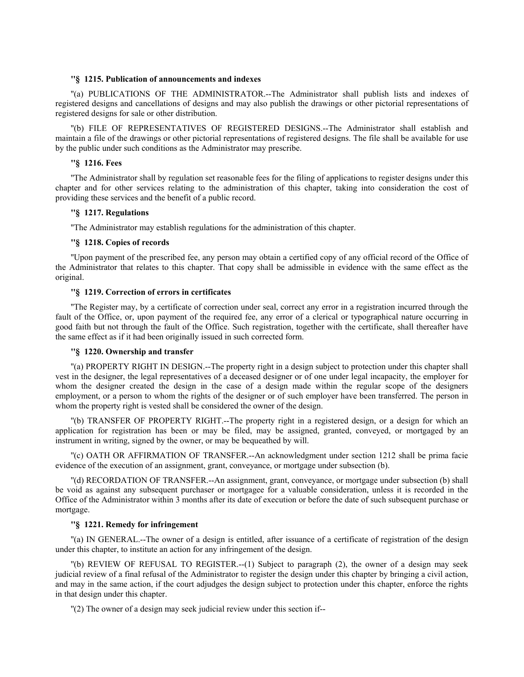# **''§ 1215. Publication of announcements and indexes**

''(a) PUBLICATIONS OF THE ADMINISTRATOR.--The Administrator shall publish lists and indexes of registered designs and cancellations of designs and may also publish the drawings or other pictorial representations of registered designs for sale or other distribution.

''(b) FILE OF REPRESENTATIVES OF REGISTERED DESIGNS.--The Administrator shall establish and maintain a file of the drawings or other pictorial representations of registered designs. The file shall be available for use by the public under such conditions as the Administrator may prescribe.

# **''§ 1216. Fees**

''The Administrator shall by regulation set reasonable fees for the filing of applications to register designs under this chapter and for other services relating to the administration of this chapter, taking into consideration the cost of providing these services and the benefit of a public record.

## **''§ 1217. Regulations**

''The Administrator may establish regulations for the administration of this chapter.

# **''§ 1218. Copies of records**

''Upon payment of the prescribed fee, any person may obtain a certified copy of any official record of the Office of the Administrator that relates to this chapter. That copy shall be admissible in evidence with the same effect as the original.

# **''§ 1219. Correction of errors in certificates**

''The Register may, by a certificate of correction under seal, correct any error in a registration incurred through the fault of the Office, or, upon payment of the required fee, any error of a clerical or typographical nature occurring in good faith but not through the fault of the Office. Such registration, together with the certificate, shall thereafter have the same effect as if it had been originally issued in such corrected form.

# **''§ 1220. Ownership and transfer**

''(a) PROPERTY RIGHT IN DESIGN.--The property right in a design subject to protection under this chapter shall vest in the designer, the legal representatives of a deceased designer or of one under legal incapacity, the employer for whom the designer created the design in the case of a design made within the regular scope of the designers employment, or a person to whom the rights of the designer or of such employer have been transferred. The person in whom the property right is vested shall be considered the owner of the design.

''(b) TRANSFER OF PROPERTY RIGHT.--The property right in a registered design, or a design for which an application for registration has been or may be filed, may be assigned, granted, conveyed, or mortgaged by an instrument in writing, signed by the owner, or may be bequeathed by will.

''(c) OATH OR AFFIRMATION OF TRANSFER.--An acknowledgment under section 1212 shall be prima facie evidence of the execution of an assignment, grant, conveyance, or mortgage under subsection (b).

''(d) RECORDATION OF TRANSFER.--An assignment, grant, conveyance, or mortgage under subsection (b) shall be void as against any subsequent purchaser or mortgagee for a valuable consideration, unless it is recorded in the Office of the Administrator within 3 months after its date of execution or before the date of such subsequent purchase or mortgage.

## **''§ 1221. Remedy for infringement**

''(a) IN GENERAL.--The owner of a design is entitled, after issuance of a certificate of registration of the design under this chapter, to institute an action for any infringement of the design.

''(b) REVIEW OF REFUSAL TO REGISTER.--(1) Subject to paragraph (2), the owner of a design may seek judicial review of a final refusal of the Administrator to register the design under this chapter by bringing a civil action, and may in the same action, if the court adjudges the design subject to protection under this chapter, enforce the rights in that design under this chapter.

''(2) The owner of a design may seek judicial review under this section if--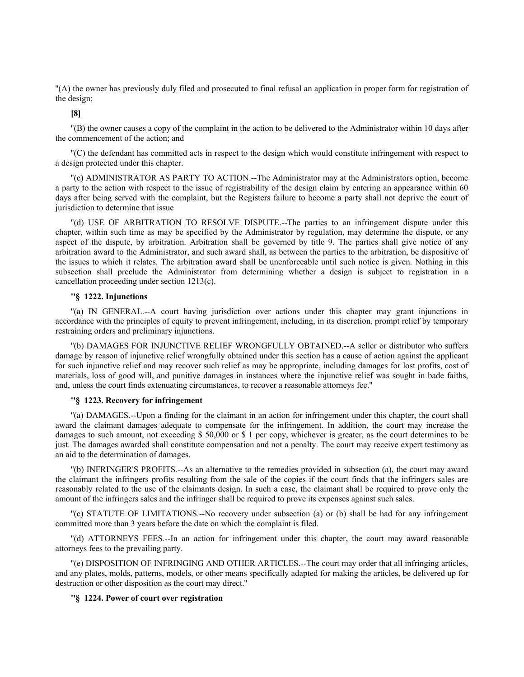''(A) the owner has previously duly filed and prosecuted to final refusal an application in proper form for registration of the design;

**[8]**

''(B) the owner causes a copy of the complaint in the action to be delivered to the Administrator within 10 days after the commencement of the action; and

''(C) the defendant has committed acts in respect to the design which would constitute infringement with respect to a design protected under this chapter.

''(c) ADMINISTRATOR AS PARTY TO ACTION.--The Administrator may at the Administrators option, become a party to the action with respect to the issue of registrability of the design claim by entering an appearance within 60 days after being served with the complaint, but the Registers failure to become a party shall not deprive the court of jurisdiction to determine that issue

''(d) USE OF ARBITRATION TO RESOLVE DISPUTE.--The parties to an infringement dispute under this chapter, within such time as may be specified by the Administrator by regulation, may determine the dispute, or any aspect of the dispute, by arbitration. Arbitration shall be governed by title 9. The parties shall give notice of any arbitration award to the Administrator, and such award shall, as between the parties to the arbitration, be dispositive of the issues to which it relates. The arbitration award shall be unenforceable until such notice is given. Nothing in this subsection shall preclude the Administrator from determining whether a design is subject to registration in a cancellation proceeding under section 1213(c).

# **''§ 1222. Injunctions**

''(a) IN GENERAL.--A court having jurisdiction over actions under this chapter may grant injunctions in accordance with the principles of equity to prevent infringement, including, in its discretion, prompt relief by temporary restraining orders and preliminary injunctions.

''(b) DAMAGES FOR INJUNCTIVE RELIEF WRONGFULLY OBTAINED.--A seller or distributor who suffers damage by reason of injunctive relief wrongfully obtained under this section has a cause of action against the applicant for such injunctive relief and may recover such relief as may be appropriate, including damages for lost profits, cost of materials, loss of good will, and punitive damages in instances where the injunctive relief was sought in bade faiths, and, unless the court finds extenuating circumstances, to recover a reasonable attorneys fee.''

## **''§ 1223. Recovery for infringement**

''(a) DAMAGES.--Upon a finding for the claimant in an action for infringement under this chapter, the court shall award the claimant damages adequate to compensate for the infringement. In addition, the court may increase the damages to such amount, not exceeding \$ 50,000 or \$ 1 per copy, whichever is greater, as the court determines to be just. The damages awarded shall constitute compensation and not a penalty. The court may receive expert testimony as an aid to the determination of damages.

''(b) INFRINGER'S PROFITS.--As an alternative to the remedies provided in subsection (a), the court may award the claimant the infringers profits resulting from the sale of the copies if the court finds that the infringers sales are reasonably related to the use of the claimants design. In such a case, the claimant shall be required to prove only the amount of the infringers sales and the infringer shall be required to prove its expenses against such sales.

''(c) STATUTE OF LIMITATIONS.--No recovery under subsection (a) or (b) shall be had for any infringement committed more than 3 years before the date on which the complaint is filed.

''(d) ATTORNEYS FEES.--In an action for infringement under this chapter, the court may award reasonable attorneys fees to the prevailing party.

''(e) DISPOSITION OF INFRINGING AND OTHER ARTICLES.--The court may order that all infringing articles, and any plates, molds, patterns, models, or other means specifically adapted for making the articles, be delivered up for destruction or other disposition as the court may direct.''

## **''§ 1224. Power of court over registration**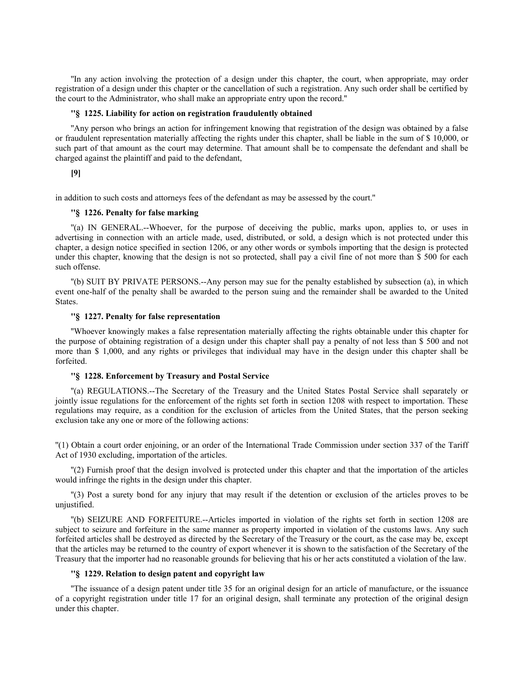''In any action involving the protection of a design under this chapter, the court, when appropriate, may order registration of a design under this chapter or the cancellation of such a registration. Any such order shall be certified by the court to the Administrator, who shall make an appropriate entry upon the record.''

## **''§ 1225. Liability for action on registration fraudulently obtained**

''Any person who brings an action for infringement knowing that registration of the design was obtained by a false or fraudulent representation materially affecting the rights under this chapter, shall be liable in the sum of \$ 10,000, or such part of that amount as the court may determine. That amount shall be to compensate the defendant and shall be charged against the plaintiff and paid to the defendant,

# **[9]**

in addition to such costs and attorneys fees of the defendant as may be assessed by the court.''

# **''§ 1226. Penalty for false marking**

''(a) IN GENERAL.--Whoever, for the purpose of deceiving the public, marks upon, applies to, or uses in advertising in connection with an article made, used, distributed, or sold, a design which is not protected under this chapter, a design notice specified in section 1206, or any other words or symbols importing that the design is protected under this chapter, knowing that the design is not so protected, shall pay a civil fine of not more than \$ 500 for each such offense.

''(b) SUIT BY PRIVATE PERSONS.--Any person may sue for the penalty established by subsection (a), in which event one-half of the penalty shall be awarded to the person suing and the remainder shall be awarded to the United States.

## **''§ 1227. Penalty for false representation**

''Whoever knowingly makes a false representation materially affecting the rights obtainable under this chapter for the purpose of obtaining registration of a design under this chapter shall pay a penalty of not less than \$ 500 and not more than \$ 1,000, and any rights or privileges that individual may have in the design under this chapter shall be forfeited.

## **''§ 1228. Enforcement by Treasury and Postal Service**

''(a) REGULATIONS.--The Secretary of the Treasury and the United States Postal Service shall separately or jointly issue regulations for the enforcement of the rights set forth in section 1208 with respect to importation. These regulations may require, as a condition for the exclusion of articles from the United States, that the person seeking exclusion take any one or more of the following actions:

''(1) Obtain a court order enjoining, or an order of the International Trade Commission under section 337 of the Tariff Act of 1930 excluding, importation of the articles.

''(2) Furnish proof that the design involved is protected under this chapter and that the importation of the articles would infringe the rights in the design under this chapter.

''(3) Post a surety bond for any injury that may result if the detention or exclusion of the articles proves to be unjustified.

''(b) SEIZURE AND FORFEITURE.--Articles imported in violation of the rights set forth in section 1208 are subject to seizure and forfeiture in the same manner as property imported in violation of the customs laws. Any such forfeited articles shall be destroyed as directed by the Secretary of the Treasury or the court, as the case may be, except that the articles may be returned to the country of export whenever it is shown to the satisfaction of the Secretary of the Treasury that the importer had no reasonable grounds for believing that his or her acts constituted a violation of the law.

## **''§ 1229. Relation to design patent and copyright law**

''The issuance of a design patent under title 35 for an original design for an article of manufacture, or the issuance of a copyright registration under title 17 for an original design, shall terminate any protection of the original design under this chapter.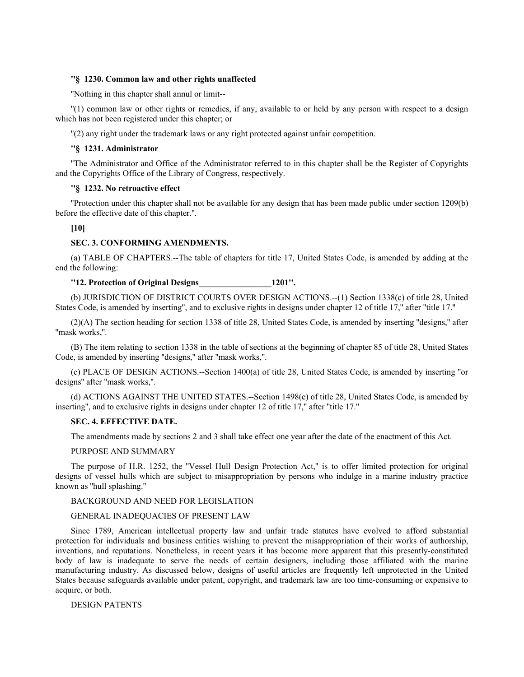## **''§ 1230. Common law and other rights unaffected**

''Nothing in this chapter shall annul or limit--

''(1) common law or other rights or remedies, if any, available to or held by any person with respect to a design which has not been registered under this chapter; or

''(2) any right under the trademark laws or any right protected against unfair competition.

### **''§ 1231. Administrator**

''The Administrator and Office of the Administrator referred to in this chapter shall be the Register of Copyrights and the Copyrights Office of the Library of Congress, respectively.

# **''§ 1232. No retroactive effect**

''Protection under this chapter shall not be available for any design that has been made public under section 1209(b) before the effective date of this chapter.''.

**[10]**

### **SEC. 3. CONFORMING AMENDMENTS.**

(a) TABLE OF CHAPTERS.--The table of chapters for title 17, United States Code, is amended by adding at the end the following:

# **''12. Protection of Original Designs\_\_\_\_\_\_\_\_\_\_\_\_\_\_\_\_\_1201''.**

(b) JURISDICTION OF DISTRICT COURTS OVER DESIGN ACTIONS.--(1) Section 1338(c) of title 28, United States Code, is amended by inserting'', and to exclusive rights in designs under chapter 12 of title 17,'' after ''title 17.''

(2)(A) The section heading for section 1338 of title 28, United States Code, is amended by inserting ''designs,'' after ''mask works,''.

(B) The item relating to section 1338 in the table of sections at the beginning of chapter 85 of title 28, United States Code, is amended by inserting ''designs,'' after ''mask works,''.

(c) PLACE OF DESIGN ACTIONS.--Section 1400(a) of title 28, United States Code, is amended by inserting ''or designs'' after ''mask works,''.

(d) ACTIONS AGAINST THE UNITED STATES.--Section 1498(e) of title 28, United States Code, is amended by inserting'', and to exclusive rights in designs under chapter 12 of title 17,'' after ''title 17.''

### **SEC. 4. EFFECTIVE DATE.**

The amendments made by sections 2 and 3 shall take effect one year after the date of the enactment of this Act.

## PURPOSE AND SUMMARY

The purpose of H.R. 1252, the "Vessel Hull Design Protection Act," is to offer limited protection for original designs of vessel hulls which are subject to misappropriation by persons who indulge in a marine industry practice known as ''hull splashing.''

### BACKGROUND AND NEED FOR LEGISLATION

# GENERAL INADEQUACIES OF PRESENT LAW

Since 1789, American intellectual property law and unfair trade statutes have evolved to afford substantial protection for individuals and business entities wishing to prevent the misappropriation of their works of authorship, inventions, and reputations. Nonetheless, in recent years it has become more apparent that this presently-constituted body of law is inadequate to serve the needs of certain designers, including those affiliated with the marine manufacturing industry. As discussed below, designs of useful articles are frequently left unprotected in the United States because safeguards available under patent, copyright, and trademark law are too time-consuming or expensive to acquire, or both.

#### DESIGN PATENTS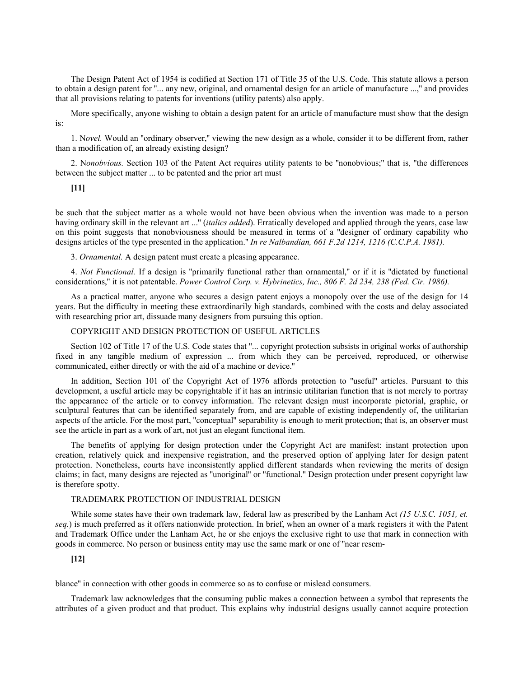The Design Patent Act of 1954 is codified at Section 171 of Title 35 of the U.S. Code. This statute allows a person to obtain a design patent for ''... any new, original, and ornamental design for an article of manufacture ...,'' and provides that all provisions relating to patents for inventions (utility patents) also apply.

More specifically, anyone wishing to obtain a design patent for an article of manufacture must show that the design is:

1. N*ovel.* Would an ''ordinary observer,'' viewing the new design as a whole, consider it to be different from, rather than a modification of, an already existing design?

2. N*onobvious.* Section 103 of the Patent Act requires utility patents to be ''nonobvious;'' that is, ''the differences between the subject matter ... to be patented and the prior art must

### **[11]**

be such that the subject matter as a whole would not have been obvious when the invention was made to a person having ordinary skill in the relevant art ...'' (*italics added*). Erratically developed and applied through the years, case law on this point suggests that nonobviousness should be measured in terms of a ''designer of ordinary capability who designs articles of the type presented in the application.'' *In re Nalbandian, 661 F.2d 1214, 1216 (C.C.P.A. 1981).*

3. *Ornamental.* A design patent must create a pleasing appearance.

4. *Not Functional.* If a design is ''primarily functional rather than ornamental,'' or if it is ''dictated by functional considerations,'' it is not patentable. *Power Control Corp. v. Hybrinetics, Inc., 806 F. 2d 234, 238 (Fed. Cir. 1986).*

As a practical matter, anyone who secures a design patent enjoys a monopoly over the use of the design for 14 years. But the difficulty in meeting these extraordinarily high standards, combined with the costs and delay associated with researching prior art, dissuade many designers from pursuing this option.

#### COPYRIGHT AND DESIGN PROTECTION OF USEFUL ARTICLES

Section 102 of Title 17 of the U.S. Code states that ''... copyright protection subsists in original works of authorship fixed in any tangible medium of expression ... from which they can be perceived, reproduced, or otherwise communicated, either directly or with the aid of a machine or device.''

In addition, Section 101 of the Copyright Act of 1976 affords protection to ''useful'' articles. Pursuant to this development, a useful article may be copyrightable if it has an intrinsic utilitarian function that is not merely to portray the appearance of the article or to convey information. The relevant design must incorporate pictorial, graphic, or sculptural features that can be identified separately from, and are capable of existing independently of, the utilitarian aspects of the article. For the most part, ''conceptual'' separability is enough to merit protection; that is, an observer must see the article in part as a work of art, not just an elegant functional item.

The benefits of applying for design protection under the Copyright Act are manifest: instant protection upon creation, relatively quick and inexpensive registration, and the preserved option of applying later for design patent protection. Nonetheless, courts have inconsistently applied different standards when reviewing the merits of design claims; in fact, many designs are rejected as ''unoriginal'' or ''functional.'' Design protection under present copyright law is therefore spotty.

# TRADEMARK PROTECTION OF INDUSTRIAL DESIGN

While some states have their own trademark law, federal law as prescribed by the Lanham Act *(15 U.S.C. 1051, et. seq.*) is much preferred as it offers nationwide protection. In brief, when an owner of a mark registers it with the Patent and Trademark Office under the Lanham Act, he or she enjoys the exclusive right to use that mark in connection with goods in commerce. No person or business entity may use the same mark or one of ''near resem-

# **[12]**

blance'' in connection with other goods in commerce so as to confuse or mislead consumers.

Trademark law acknowledges that the consuming public makes a connection between a symbol that represents the attributes of a given product and that product. This explains why industrial designs usually cannot acquire protection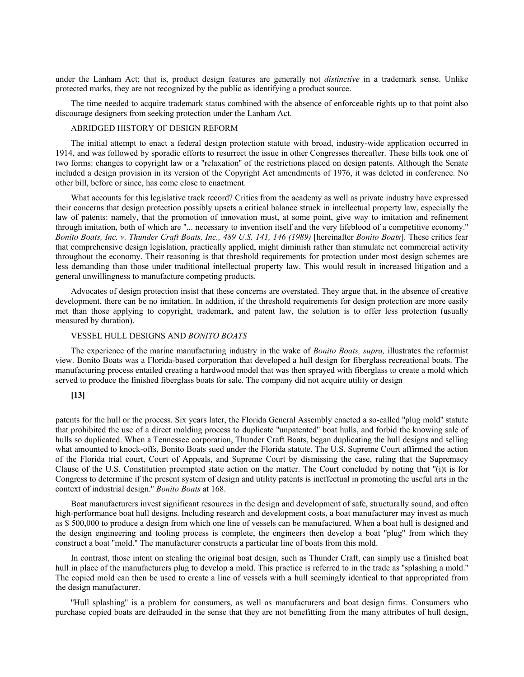under the Lanham Act; that is, product design features are generally not *distinctive* in a trademark sense. Unlike protected marks, they are not recognized by the public as identifying a product source.

The time needed to acquire trademark status combined with the absence of enforceable rights up to that point also discourage designers from seeking protection under the Lanham Act.

### ABRIDGED HISTORY OF DESIGN REFORM

The initial attempt to enact a federal design protection statute with broad, industry-wide application occurred in 1914, and was followed by sporadic efforts to resurrect the issue in other Congresses thereafter. These bills took one of two forms: changes to copyright law or a ''relaxation'' of the restrictions placed on design patents. Although the Senate included a design provision in its version of the Copyright Act amendments of 1976, it was deleted in conference. No other bill, before or since, has come close to enactment.

What accounts for this legislative track record? Critics from the academy as well as private industry have expressed their concerns that design protection possibly upsets a critical balance struck in intellectual property law, especially the law of patents: namely, that the promotion of innovation must, at some point, give way to imitation and refinement through imitation, both of which are ''... necessary to invention itself and the very lifeblood of a competitive economy.'' *Bonito Boats, Inc. v. Thunder Craft Boats, Inc., 489 U.S. 141, 146 (1989)* [hereinafter *Bonito Boats*]. These critics fear that comprehensive design legislation, practically applied, might diminish rather than stimulate net commercial activity throughout the economy. Their reasoning is that threshold requirements for protection under most design schemes are less demanding than those under traditional intellectual property law. This would result in increased litigation and a general unwillingness to manufacture competing products.

Advocates of design protection insist that these concerns are overstated. They argue that, in the absence of creative development, there can be no imitation. In addition, if the threshold requirements for design protection are more easily met than those applying to copyright, trademark, and patent law, the solution is to offer less protection (usually measured by duration).

## VESSEL HULL DESIGNS AND *BONITO BOATS*

The experience of the marine manufacturing industry in the wake of *Bonito Boats, supra,* illustrates the reformist view. Bonito Boats was a Florida-based corporation that developed a hull design for fiberglass recreational boats. The manufacturing process entailed creating a hardwood model that was then sprayed with fiberglass to create a mold which served to produce the finished fiberglass boats for sale. The company did not acquire utility or design

# **[13]**

patents for the hull or the process. Six years later, the Florida General Assembly enacted a so-called ''plug mold'' statute that prohibited the use of a direct molding process to duplicate ''unpatented'' boat hulls, and forbid the knowing sale of hulls so duplicated. When a Tennessee corporation, Thunder Craft Boats, began duplicating the hull designs and selling what amounted to knock-offs, Bonito Boats sued under the Florida statute. The U.S. Supreme Court affirmed the action of the Florida trial court, Court of Appeals, and Supreme Court by dismissing the case, ruling that the Supremacy Clause of the U.S. Constitution preempted state action on the matter. The Court concluded by noting that ''(i)t is for Congress to determine if the present system of design and utility patents is ineffectual in promoting the useful arts in the context of industrial design.'' *Bonito Boats* at 168.

Boat manufacturers invest significant resources in the design and development of safe, structurally sound, and often high-performance boat hull designs. Including research and development costs, a boat manufacturer may invest as much as \$ 500,000 to produce a design from which one line of vessels can be manufactured. When a boat hull is designed and the design engineering and tooling process is complete, the engineers then develop a boat ''plug'' from which they construct a boat ''mold.'' The manufacturer constructs a particular line of boats from this mold.

In contrast, those intent on stealing the original boat design, such as Thunder Craft, can simply use a finished boat hull in place of the manufacturers plug to develop a mold. This practice is referred to in the trade as "splashing a mold." The copied mold can then be used to create a line of vessels with a hull seemingly identical to that appropriated from the design manufacturer.

''Hull splashing'' is a problem for consumers, as well as manufacturers and boat design firms. Consumers who purchase copied boats are defrauded in the sense that they are not benefitting from the many attributes of hull design,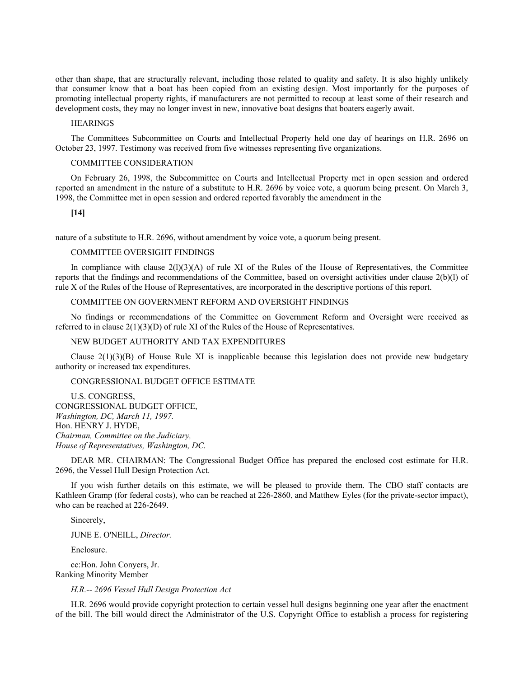other than shape, that are structurally relevant, including those related to quality and safety. It is also highly unlikely that consumer know that a boat has been copied from an existing design. Most importantly for the purposes of promoting intellectual property rights, if manufacturers are not permitted to recoup at least some of their research and development costs, they may no longer invest in new, innovative boat designs that boaters eagerly await.

**HEARINGS** 

The Committees Subcommittee on Courts and Intellectual Property held one day of hearings on H.R. 2696 on October 23, 1997. Testimony was received from five witnesses representing five organizations.

#### COMMITTEE CONSIDERATION

On February 26, 1998, the Subcommittee on Courts and Intellectual Property met in open session and ordered reported an amendment in the nature of a substitute to H.R. 2696 by voice vote, a quorum being present. On March 3, 1998, the Committee met in open session and ordered reported favorably the amendment in the

**[14]**

nature of a substitute to H.R. 2696, without amendment by voice vote, a quorum being present.

#### COMMITTEE OVERSIGHT FINDINGS

In compliance with clause  $2(1)(3)(A)$  of rule XI of the Rules of the House of Representatives, the Committee reports that the findings and recommendations of the Committee, based on oversight activities under clause 2(b)(l) of rule X of the Rules of the House of Representatives, are incorporated in the descriptive portions of this report.

## COMMITTEE ON GOVERNMENT REFORM AND OVERSIGHT FINDINGS

No findings or recommendations of the Committee on Government Reform and Oversight were received as referred to in clause  $2(1)(3)(D)$  of rule XI of the Rules of the House of Representatives.

## NEW BUDGET AUTHORITY AND TAX EXPENDITURES

Clause  $2(1)(3)(B)$  of House Rule XI is inapplicable because this legislation does not provide new budgetary authority or increased tax expenditures.

## CONGRESSIONAL BUDGET OFFICE ESTIMATE

U.S. CONGRESS, CONGRESSIONAL BUDGET OFFICE, *Washington, DC, March 11, 1997.* Hon. HENRY J. HYDE, *Chairman, Committee on the Judiciary, House of Representatives, Washington, DC.*

DEAR MR. CHAIRMAN: The Congressional Budget Office has prepared the enclosed cost estimate for H.R. 2696, the Vessel Hull Design Protection Act.

If you wish further details on this estimate, we will be pleased to provide them. The CBO staff contacts are Kathleen Gramp (for federal costs), who can be reached at 226-2860, and Matthew Eyles (for the private-sector impact), who can be reached at 226-2649.

Sincerely,

JUNE E. O'NEILL, *Director.*

Enclosure.

cc:Hon. John Conyers, Jr. Ranking Minority Member

*H.R.-- 2696 Vessel Hull Design Protection Act*

H.R. 2696 would provide copyright protection to certain vessel hull designs beginning one year after the enactment of the bill. The bill would direct the Administrator of the U.S. Copyright Office to establish a process for registering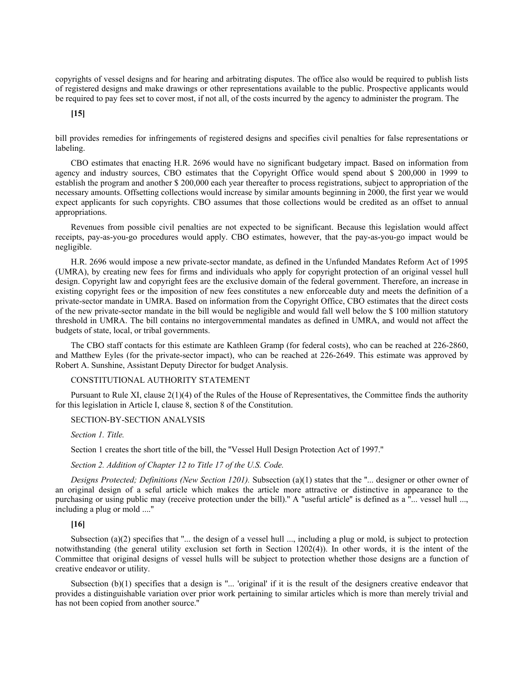copyrights of vessel designs and for hearing and arbitrating disputes. The office also would be required to publish lists of registered designs and make drawings or other representations available to the public. Prospective applicants would be required to pay fees set to cover most, if not all, of the costs incurred by the agency to administer the program. The

# **[15]**

bill provides remedies for infringements of registered designs and specifies civil penalties for false representations or labeling.

CBO estimates that enacting H.R. 2696 would have no significant budgetary impact. Based on information from agency and industry sources, CBO estimates that the Copyright Office would spend about \$ 200,000 in 1999 to establish the program and another \$ 200,000 each year thereafter to process registrations, subject to appropriation of the necessary amounts. Offsetting collections would increase by similar amounts beginning in 2000, the first year we would expect applicants for such copyrights. CBO assumes that those collections would be credited as an offset to annual appropriations.

Revenues from possible civil penalties are not expected to be significant. Because this legislation would affect receipts, pay-as-you-go procedures would apply. CBO estimates, however, that the pay-as-you-go impact would be negligible.

H.R. 2696 would impose a new private-sector mandate, as defined in the Unfunded Mandates Reform Act of 1995 (UMRA), by creating new fees for firms and individuals who apply for copyright protection of an original vessel hull design. Copyright law and copyright fees are the exclusive domain of the federal government. Therefore, an increase in existing copyright fees or the imposition of new fees constitutes a new enforceable duty and meets the definition of a private-sector mandate in UMRA. Based on information from the Copyright Office, CBO estimates that the direct costs of the new private-sector mandate in the bill would be negligible and would fall well below the \$ 100 million statutory threshold in UMRA. The bill contains no intergovernmental mandates as defined in UMRA, and would not affect the budgets of state, local, or tribal governments.

The CBO staff contacts for this estimate are Kathleen Gramp (for federal costs), who can be reached at 226-2860, and Matthew Eyles (for the private-sector impact), who can be reached at 226-2649. This estimate was approved by Robert A. Sunshine, Assistant Deputy Director for budget Analysis.

## CONSTITUTIONAL AUTHORITY STATEMENT

Pursuant to Rule XI, clause 2(1)(4) of the Rules of the House of Representatives, the Committee finds the authority for this legislation in Article I, clause 8, section 8 of the Constitution.

#### SECTION-BY-SECTION ANALYSIS

*Section 1. Title.*

Section 1 creates the short title of the bill, the ''Vessel Hull Design Protection Act of 1997.''

*Section 2. Addition of Chapter 12 to Title 17 of the U.S. Code.*

*Designs Protected; Definitions (New Section 1201).* Subsection (a)(1) states that the ''... designer or other owner of an original design of a seful article which makes the article more attractive or distinctive in appearance to the purchasing or using public may (receive protection under the bill)." A "useful article" is defined as a "... vessel hull ..., including a plug or mold ....''

## **[16]**

Subsection (a)(2) specifies that " $\ldots$  the design of a vessel hull  $\ldots$ , including a plug or mold, is subject to protection notwithstanding (the general utility exclusion set forth in Section 1202(4)). In other words, it is the intent of the Committee that original designs of vessel hulls will be subject to protection whether those designs are a function of creative endeavor or utility.

Subsection  $(b)(1)$  specifies that a design is "... 'original' if it is the result of the designers creative endeavor that provides a distinguishable variation over prior work pertaining to similar articles which is more than merely trivial and has not been copied from another source.''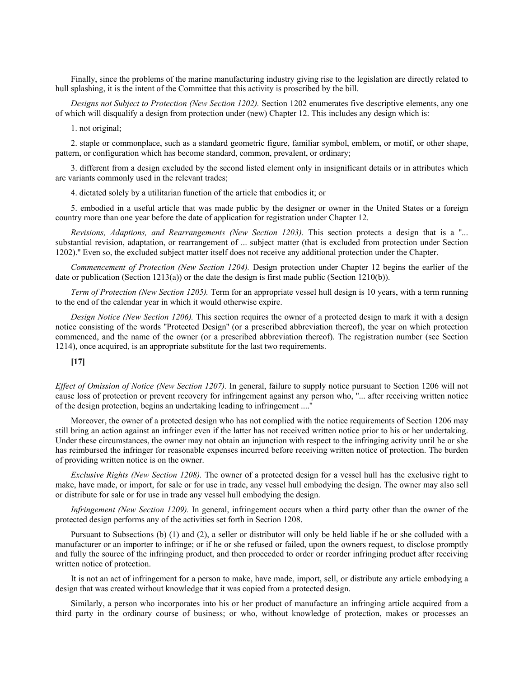Finally, since the problems of the marine manufacturing industry giving rise to the legislation are directly related to hull splashing, it is the intent of the Committee that this activity is proscribed by the bill.

*Designs not Subject to Protection (New Section 1202).* Section 1202 enumerates five descriptive elements, any one of which will disqualify a design from protection under (new) Chapter 12. This includes any design which is:

1. not original;

2. staple or commonplace, such as a standard geometric figure, familiar symbol, emblem, or motif, or other shape, pattern, or configuration which has become standard, common, prevalent, or ordinary;

3. different from a design excluded by the second listed element only in insignificant details or in attributes which are variants commonly used in the relevant trades;

4. dictated solely by a utilitarian function of the article that embodies it; or

5. embodied in a useful article that was made public by the designer or owner in the United States or a foreign country more than one year before the date of application for registration under Chapter 12.

*Revisions, Adaptions, and Rearrangements (New Section 1203).* This section protects a design that is a ''... substantial revision, adaptation, or rearrangement of ... subject matter (that is excluded from protection under Section 1202).'' Even so, the excluded subject matter itself does not receive any additional protection under the Chapter.

*Commencement of Protection (New Section 1204).* Design protection under Chapter 12 begins the earlier of the date or publication (Section 1213(a)) or the date the design is first made public (Section 1210(b)).

*Term of Protection (New Section 1205).* Term for an appropriate vessel hull design is 10 years, with a term running to the end of the calendar year in which it would otherwise expire.

*Design Notice (New Section 1206).* This section requires the owner of a protected design to mark it with a design notice consisting of the words ''Protected Design'' (or a prescribed abbreviation thereof), the year on which protection commenced, and the name of the owner (or a prescribed abbreviation thereof). The registration number (see Section 1214), once acquired, is an appropriate substitute for the last two requirements.

# **[17]**

*Effect of Omission of Notice (New Section 1207).* In general, failure to supply notice pursuant to Section 1206 will not cause loss of protection or prevent recovery for infringement against any person who, ''... after receiving written notice of the design protection, begins an undertaking leading to infringement ....''

Moreover, the owner of a protected design who has not complied with the notice requirements of Section 1206 may still bring an action against an infringer even if the latter has not received written notice prior to his or her undertaking. Under these circumstances, the owner may not obtain an injunction with respect to the infringing activity until he or she has reimbursed the infringer for reasonable expenses incurred before receiving written notice of protection. The burden of providing written notice is on the owner.

*Exclusive Rights (New Section 1208).* The owner of a protected design for a vessel hull has the exclusive right to make, have made, or import, for sale or for use in trade, any vessel hull embodying the design. The owner may also sell or distribute for sale or for use in trade any vessel hull embodying the design.

*Infringement (New Section 1209).* In general, infringement occurs when a third party other than the owner of the protected design performs any of the activities set forth in Section 1208.

Pursuant to Subsections (b) (1) and (2), a seller or distributor will only be held liable if he or she colluded with a manufacturer or an importer to infringe; or if he or she refused or failed, upon the owners request, to disclose promptly and fully the source of the infringing product, and then proceeded to order or reorder infringing product after receiving written notice of protection.

It is not an act of infringement for a person to make, have made, import, sell, or distribute any article embodying a design that was created without knowledge that it was copied from a protected design.

Similarly, a person who incorporates into his or her product of manufacture an infringing article acquired from a third party in the ordinary course of business; or who, without knowledge of protection, makes or processes an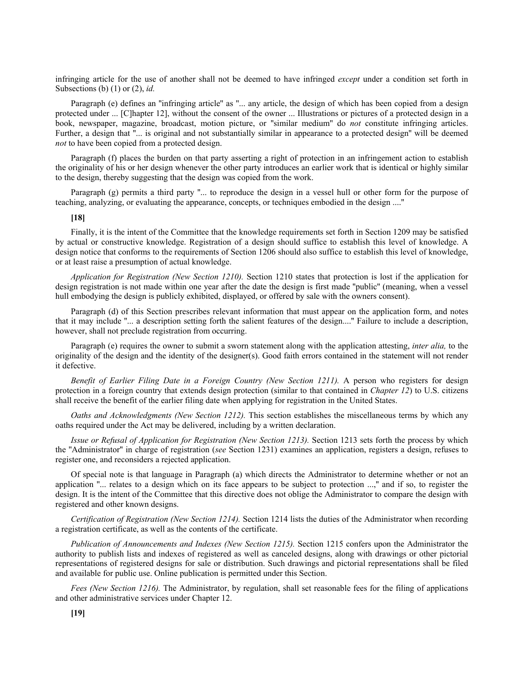infringing article for the use of another shall not be deemed to have infringed *except* under a condition set forth in Subsections (b) (1) or (2), *id.*

Paragraph (e) defines an "infringing article" as "... any article, the design of which has been copied from a design protected under ... [C]hapter 12], without the consent of the owner ... Illustrations or pictures of a protected design in a book, newspaper, magazine, broadcast, motion picture, or ''similar medium'' do *not* constitute infringing articles. Further, a design that ''... is original and not substantially similar in appearance to a protected design'' will be deemed *not* to have been copied from a protected design.

Paragraph (f) places the burden on that party asserting a right of protection in an infringement action to establish the originality of his or her design whenever the other party introduces an earlier work that is identical or highly similar to the design, thereby suggesting that the design was copied from the work.

Paragraph (g) permits a third party ''... to reproduce the design in a vessel hull or other form for the purpose of teaching, analyzing, or evaluating the appearance, concepts, or techniques embodied in the design ....''

#### **[18]**

Finally, it is the intent of the Committee that the knowledge requirements set forth in Section 1209 may be satisfied by actual or constructive knowledge. Registration of a design should suffice to establish this level of knowledge. A design notice that conforms to the requirements of Section 1206 should also suffice to establish this level of knowledge, or at least raise a presumption of actual knowledge.

*Application for Registration (New Section 1210).* Section 1210 states that protection is lost if the application for design registration is not made within one year after the date the design is first made ''public'' (meaning, when a vessel hull embodying the design is publicly exhibited, displayed, or offered by sale with the owners consent).

Paragraph (d) of this Section prescribes relevant information that must appear on the application form, and notes that it may include ''... a description setting forth the salient features of the design....'' Failure to include a description, however, shall not preclude registration from occurring.

Paragraph (e) requires the owner to submit a sworn statement along with the application attesting, *inter alia,* to the originality of the design and the identity of the designer(s). Good faith errors contained in the statement will not render it defective.

*Benefit of Earlier Filing Date in a Foreign Country (New Section 1211).* A person who registers for design protection in a foreign country that extends design protection (similar to that contained in *Chapter 12*) to U.S. citizens shall receive the benefit of the earlier filing date when applying for registration in the United States.

*Oaths and Acknowledgments (New Section 1212).* This section establishes the miscellaneous terms by which any oaths required under the Act may be delivered, including by a written declaration.

*Issue or Refusal of Application for Registration (New Section 1213).* Section 1213 sets forth the process by which the ''Administrator'' in charge of registration (*see* Section 1231) examines an application, registers a design, refuses to register one, and reconsiders a rejected application.

Of special note is that language in Paragraph (a) which directs the Administrator to determine whether or not an application ''... relates to a design which on its face appears to be subject to protection ...,'' and if so, to register the design. It is the intent of the Committee that this directive does not oblige the Administrator to compare the design with registered and other known designs.

*Certification of Registration (New Section 1214).* Section 1214 lists the duties of the Administrator when recording a registration certificate, as well as the contents of the certificate.

*Publication of Announcements and Indexes (New Section 1215).* Section 1215 confers upon the Administrator the authority to publish lists and indexes of registered as well as canceled designs, along with drawings or other pictorial representations of registered designs for sale or distribution. Such drawings and pictorial representations shall be filed and available for public use. Online publication is permitted under this Section.

*Fees (New Section 1216).* The Administrator, by regulation, shall set reasonable fees for the filing of applications and other administrative services under Chapter 12.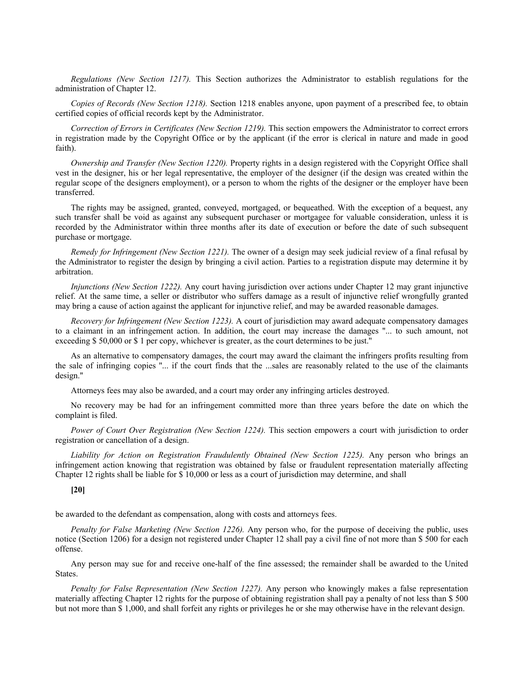*Regulations (New Section 1217).* This Section authorizes the Administrator to establish regulations for the administration of Chapter 12.

*Copies of Records (New Section 1218).* Section 1218 enables anyone, upon payment of a prescribed fee, to obtain certified copies of official records kept by the Administrator.

*Correction of Errors in Certificates (New Section 1219).* This section empowers the Administrator to correct errors in registration made by the Copyright Office or by the applicant (if the error is clerical in nature and made in good faith).

*Ownership and Transfer (New Section 1220).* Property rights in a design registered with the Copyright Office shall vest in the designer, his or her legal representative, the employer of the designer (if the design was created within the regular scope of the designers employment), or a person to whom the rights of the designer or the employer have been transferred.

The rights may be assigned, granted, conveyed, mortgaged, or bequeathed. With the exception of a bequest, any such transfer shall be void as against any subsequent purchaser or mortgagee for valuable consideration, unless it is recorded by the Administrator within three months after its date of execution or before the date of such subsequent purchase or mortgage.

*Remedy for Infringement (New Section 1221).* The owner of a design may seek judicial review of a final refusal by the Administrator to register the design by bringing a civil action. Parties to a registration dispute may determine it by arbitration.

*Injunctions (New Section 1222).* Any court having jurisdiction over actions under Chapter 12 may grant injunctive relief. At the same time, a seller or distributor who suffers damage as a result of injunctive relief wrongfully granted may bring a cause of action against the applicant for injunctive relief, and may be awarded reasonable damages.

*Recovery for Infringement (New Section 1223).* A court of jurisdiction may award adequate compensatory damages to a claimant in an infringement action. In addition, the court may increase the damages ''... to such amount, not exceeding \$ 50,000 or \$ 1 per copy, whichever is greater, as the court determines to be just.''

As an alternative to compensatory damages, the court may award the claimant the infringers profits resulting from the sale of infringing copies ''... if the court finds that the ...sales are reasonably related to the use of the claimants design.''

Attorneys fees may also be awarded, and a court may order any infringing articles destroyed.

No recovery may be had for an infringement committed more than three years before the date on which the complaint is filed.

*Power of Court Over Registration (New Section 1224).* This section empowers a court with jurisdiction to order registration or cancellation of a design.

*Liability for Action on Registration Fraudulently Obtained (New Section 1225).* Any person who brings an infringement action knowing that registration was obtained by false or fraudulent representation materially affecting Chapter 12 rights shall be liable for \$ 10,000 or less as a court of jurisdiction may determine, and shall

# **[20]**

be awarded to the defendant as compensation, along with costs and attorneys fees.

*Penalty for False Marketing (New Section 1226).* Any person who, for the purpose of deceiving the public, uses notice (Section 1206) for a design not registered under Chapter 12 shall pay a civil fine of not more than \$ 500 for each offense.

Any person may sue for and receive one-half of the fine assessed; the remainder shall be awarded to the United States.

*Penalty for False Representation (New Section 1227).* Any person who knowingly makes a false representation materially affecting Chapter 12 rights for the purpose of obtaining registration shall pay a penalty of not less than \$ 500 but not more than \$ 1,000, and shall forfeit any rights or privileges he or she may otherwise have in the relevant design.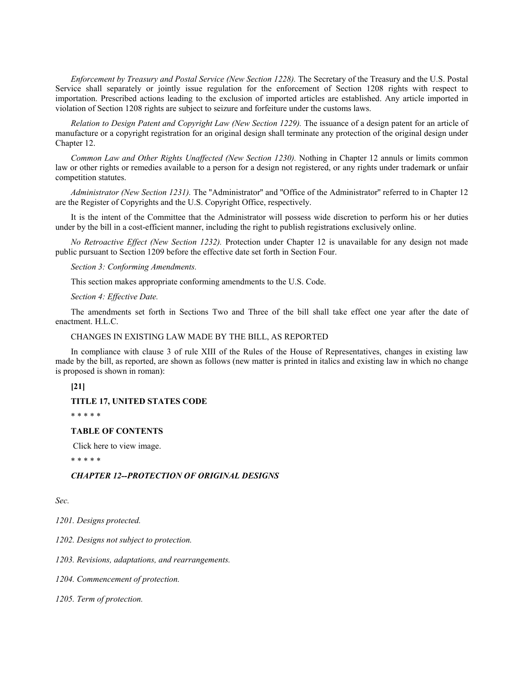*Enforcement by Treasury and Postal Service (New Section 1228).* The Secretary of the Treasury and the U.S. Postal Service shall separately or jointly issue regulation for the enforcement of Section 1208 rights with respect to importation. Prescribed actions leading to the exclusion of imported articles are established. Any article imported in violation of Section 1208 rights are subject to seizure and forfeiture under the customs laws.

*Relation to Design Patent and Copyright Law (New Section 1229).* The issuance of a design patent for an article of manufacture or a copyright registration for an original design shall terminate any protection of the original design under Chapter 12.

*Common Law and Other Rights Unaffected (New Section 1230).* Nothing in Chapter 12 annuls or limits common law or other rights or remedies available to a person for a design not registered, or any rights under trademark or unfair competition statutes.

*Administrator (New Section 1231).* The ''Administrator'' and ''Office of the Administrator'' referred to in Chapter 12 are the Register of Copyrights and the U.S. Copyright Office, respectively.

It is the intent of the Committee that the Administrator will possess wide discretion to perform his or her duties under by the bill in a cost-efficient manner, including the right to publish registrations exclusively online.

*No Retroactive Effect (New Section 1232).* Protection under Chapter 12 is unavailable for any design not made public pursuant to Section 1209 before the effective date set forth in Section Four.

*Section 3: Conforming Amendments.*

This section makes appropriate conforming amendments to the U.S. Code.

*Section 4: Effective Date.*

The amendments set forth in Sections Two and Three of the bill shall take effect one year after the date of enactment. H.L.C.

CHANGES IN EXISTING LAW MADE BY THE BILL, AS REPORTED

In compliance with clause 3 of rule XIII of the Rules of the House of Representatives, changes in existing law made by the bill, as reported, are shown as follows (new matter is printed in italics and existing law in which no change is proposed is shown in roman):

# **[21]**

#### **TITLE 17, UNITED STATES CODE**

\* \* \* \* \*

#### **TABLE OF CONTENTS**

Click here to view image.

\* \* \* \* \*

### *CHAPTER 12--PROTECTION OF ORIGINAL DESIGNS*

*Sec.*

*1201. Designs protected.*

*1202. Designs not subject to protection.*

*1203. Revisions, adaptations, and rearrangements.*

*1204. Commencement of protection.*

*1205. Term of protection.*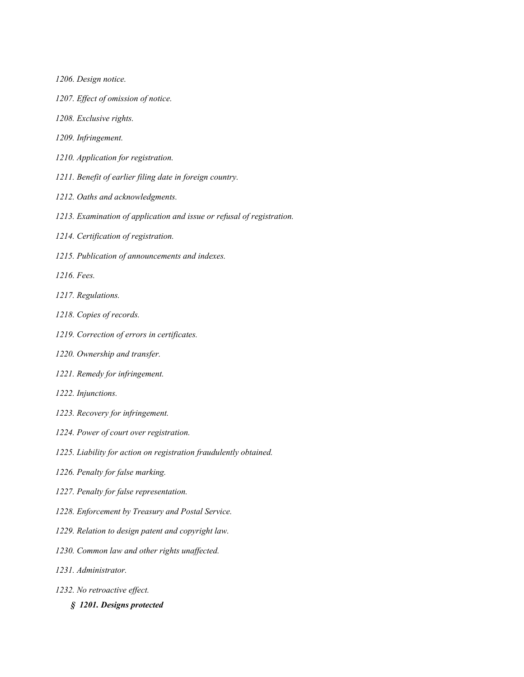- *1206. Design notice.*
- *1207. Effect of omission of notice.*
- *1208. Exclusive rights.*
- *1209. Infringement.*
- *1210. Application for registration.*
- *1211. Benefit of earlier filing date in foreign country.*
- *1212. Oaths and acknowledgments.*
- *1213. Examination of application and issue or refusal of registration.*
- *1214. Certification of registration.*
- *1215. Publication of announcements and indexes.*
- *1216. Fees.*
- *1217. Regulations.*
- *1218. Copies of records.*
- *1219. Correction of errors in certificates.*
- *1220. Ownership and transfer.*
- *1221. Remedy for infringement.*
- *1222. Injunctions.*
- *1223. Recovery for infringement.*
- *1224. Power of court over registration.*
- *1225. Liability for action on registration fraudulently obtained.*
- *1226. Penalty for false marking.*
- *1227. Penalty for false representation.*
- *1228. Enforcement by Treasury and Postal Service.*
- *1229. Relation to design patent and copyright law.*
- *1230. Common law and other rights unaffected.*
- *1231. Administrator.*
- *1232. No retroactive effect.*
	- *§ 1201. Designs protected*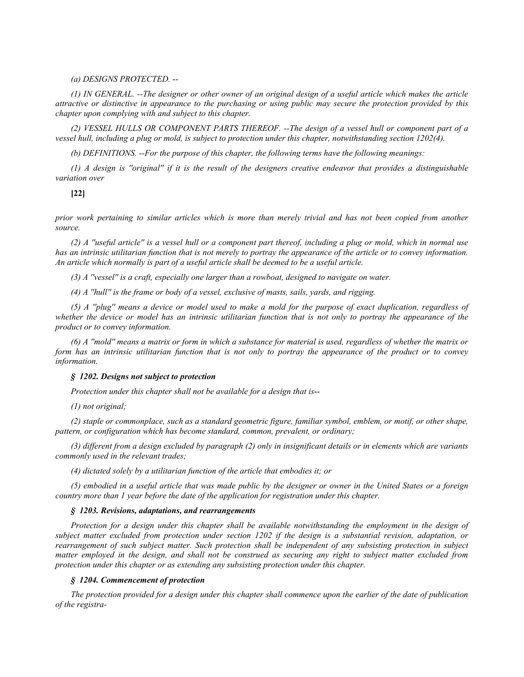#### *(a) DESIGNS PROTECTED.* --

*(1) IN GENERAL. --The designer or other owner of an original design of a useful article which makes the article attractive or distinctive in appearance to the purchasing or using public may secure the protection provided by this chapter upon complying with and subject to this chapter.*

*(2) VESSEL HULLS OR COMPONENT PARTS THEREOF. --The design of a vessel hull or component part of a vessel hull, including a plug or mold, is subject to protection under this chapter, notwithstanding section 1202(4).*

*(b) DEFINITIONS. --For the purpose of this chapter, the following terms have the following meanings:*

*(1) A design is ''original'' if it is the result of the designers creative endeavor that provides a distinguishable variation over*

**[22]**

*prior work pertaining to similar articles which is more than merely trivial and has not been copied from another source.*

*(2) A ''useful article'' is a vessel hull or a component part thereof, including a plug or mold, which in normal use has an intrinsic utilitarian function that is not merely to portray the appearance of the article or to convey information. An article which normally is part of a useful article shall be deemed to be a useful article.*

*(3) A ''vessel'' is a craft, especially one larger than a rowboat, designed to navigate on water.*

*(4) A ''hull'' is the frame or body of a vessel, exclusive of masts, sails, yards, and rigging.*

*(5) A ''plug'' means a device or model used to make a mold for the purpose of exact duplication, regardless of whether the device or model has an intrinsic utilitarian function that is not only to portray the appearance of the product or to convey information.*

*(6) A ''mold'' means a matrix or form in which a substance for material is used, regardless of whether the matrix or form has an intrinsic utilitarian function that is not only to portray the appearance of the product or to convey information.*

#### *§ 1202. Designs not subject to protection*

*Protection under this chapter shall not be available for a design that is*--

*(1) not original;*

*(2) staple or commonplace, such as a standard geometric figure, familiar symbol, emblem, or motif, or other shape, pattern, or configuration which has become standard, common, prevalent, or ordinary;*

*(3) different from a design excluded by paragraph (2) only in insignificant details or in elements which are variants commonly used in the relevant trades;*

*(4) dictated solely by a utilitarian function of the article that embodies it; or*

*(5) embodied in a useful article that was made public by the designer or owner in the United States or a foreign country more than 1 year before the date of the application for registration under this chapter.*

#### *§ 1203. Revisions, adaptations, and rearrangements*

*Protection for a design under this chapter shall be available notwithstanding the employment in the design of subject matter excluded from protection under section 1202 if the design is a substantial revision, adaptation, or*  rearrangement of such subject matter. Such protection shall be independent of any subsisting protection in subject *matter employed in the design, and shall not be construed as securing any right to subject matter excluded from protection under this chapter or as extending any subsisting protection under this chapter.*

#### *§ 1204. Commencement of protection*

*The protection provided for a design under this chapter shall commence upon the earlier of the date of publication of the registra-*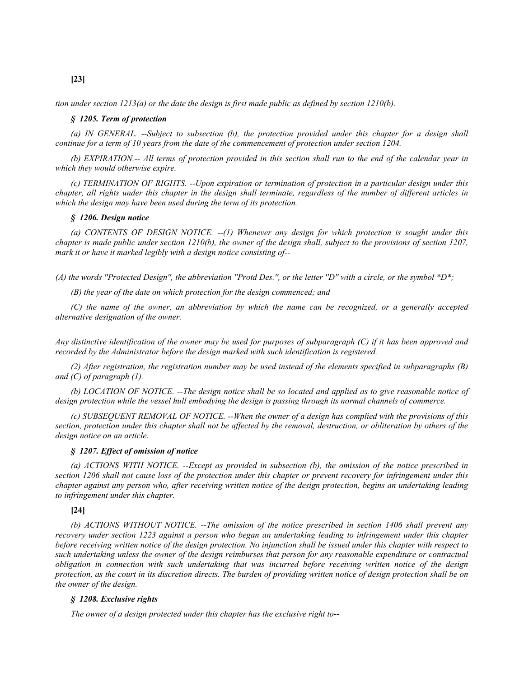*tion under section 1213(a) or the date the design is first made public as defined by section 1210(b).*

#### *§ 1205. Term of protection*

*(a) IN GENERAL. --Subject to subsection (b), the protection provided under this chapter for a design shall continue for a term of 10 years from the date of the commencement of protection under section 1204.*

*(b) EXPIRATION.-- All terms of protection provided in this section shall run to the end of the calendar year in which they would otherwise expire.*

*(c) TERMINATION OF RIGHTS. --Upon expiration or termination of protection in a particular design under this chapter, all rights under this chapter in the design shall terminate, regardless of the number of different articles in which the design may have been used during the term of its protection.*

### *§ 1206. Design notice*

*(a) CONTENTS OF DESIGN NOTICE. --(1) Whenever any design for which protection is sought under this chapter is made public under section 1210(b), the owner of the design shall, subject to the provisions of section 1207, mark it or have it marked legibly with a design notice consisting of*--

*(A) the words ''Protected Design'', the abbreviation ''Protd Des.'', or the letter ''D'' with a circle, or the symbol \*D\*;*

*(B) the year of the date on which protection for the design commenced; and*

*(C) the name of the owner, an abbreviation by which the name can be recognized, or a generally accepted alternative designation of the owner.*

*Any distinctive identification of the owner may be used for purposes of subparagraph (C) if it has been approved and recorded by the Administrator before the design marked with such identification is registered.*

*(2) After registration, the registration number may be used instead of the elements specified in subparagraphs (B) and (C) of paragraph (1).*

*(b) LOCATION OF NOTICE. --The design notice shall be so located and applied as to give reasonable notice of design protection while the vessel hull embodying the design is passing through its normal channels of commerce.*

*(c) SUBSEQUENT REMOVAL OF NOTICE. --When the owner of a design has complied with the provisions of this section, protection under this chapter shall not be affected by the removal, destruction, or obliteration by others of the design notice on an article.*

### *§ 1207. Effect of omission of notice*

*(a) ACTIONS WITH NOTICE. --Except as provided in subsection (b), the omission of the notice prescribed in section 1206 shall not cause loss of the protection under this chapter or prevent recovery for infringement under this chapter against any person who, after receiving written notice of the design protection, begins an undertaking leading to infringement under this chapter.*

## **[24]**

*(b) ACTIONS WITHOUT NOTICE. --The omission of the notice prescribed in section 1406 shall prevent any recovery under section 1223 against a person who began an undertaking leading to infringement under this chapter before receiving written notice of the design protection. No injunction shall be issued under this chapter with respect to such undertaking unless the owner of the design reimburses that person for any reasonable expenditure or contractual obligation in connection with such undertaking that was incurred before receiving written notice of the design protection, as the court in its discretion directs. The burden of providing written notice of design protection shall be on the owner of the design.*

### *§ 1208. Exclusive rights*

*The owner of a design protected under this chapter has the exclusive right to*--

# **[23]**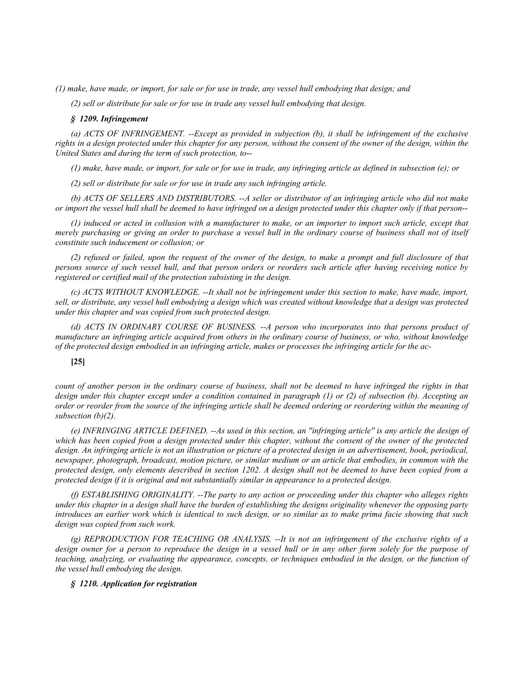*(1) make, have made, or import, for sale or for use in trade, any vessel hull embodying that design; and*

*(2) sell or distribute for sale or for use in trade any vessel hull embodying that design.*

#### *§ 1209. Infringement*

*(a) ACTS OF INFRINGEMENT. --Except as provided in subjection (b), it shall be infringement of the exclusive rights in a design protected under this chapter for any person, without the consent of the owner of the design, within the United States and during the term of such protection, to*--

*(1) make, have made, or import, for sale or for use in trade, any infringing article as defined in subsection (e); or*

*(2) sell or distribute for sale or for use in trade any such infringing article.*

*(b) ACTS OF SELLERS AND DISTRIBUTORS. --A seller or distributor of an infringing article who did not make or import the vessel hull shall be deemed to have infringed on a design protected under this chapter only if that person*--

*(1) induced or acted in collusion with a manufacturer to make, or an importer to import such article, except that merely purchasing or giving an order to purchase a vessel hull in the ordinary course of business shall not of itself constitute such inducement or collusion; or*

*(2) refused or failed, upon the request of the owner of the design, to make a prompt and full disclosure of that persons source of such vessel hull, and that person orders or reorders such article after having receiving notice by registered or certified mail of the protection subsisting in the design.*

*(c) ACTS WITHOUT KNOWLEDGE. --It shall not be infringement under this section to make, have made, import, sell, or distribute, any vessel hull embodying a design which was created without knowledge that a design was protected under this chapter and was copied from such protected design.*

*(d) ACTS IN ORDINARY COURSE OF BUSINESS. --A person who incorporates into that persons product of manufacture an infringing article acquired from others in the ordinary course of business, or who, without knowledge of the protected design embodied in an infringing article, makes or processes the infringing article for the ac-*

# **[25]**

*count of another person in the ordinary course of business, shall not be deemed to have infringed the rights in that design under this chapter except under a condition contained in paragraph (1) or (2) of subsection (b). Accepting an order or reorder from the source of the infringing article shall be deemed ordering or reordering within the meaning of subsection (b)(2).*

*(e) INFRINGING ARTICLE DEFINED. --As used in this section, an ''infringing article'' is any article the design of which has been copied from a design protected under this chapter, without the consent of the owner of the protected design. An infringing article is not an illustration or picture of a protected design in an advertisement, book, periodical, newspaper, photograph, broadcast, motion picture, or similar medium or an article that embodies, in common with the protected design, only elements described in section 1202. A design shall not be deemed to have been copied from a protected design if it is original and not substantially similar in appearance to a protected design.*

*(f) ESTABLISHING ORIGINALITY. --The party to any action or proceeding under this chapter who alleges rights under this chapter in a design shall have the burden of establishing the designs originality whenever the opposing party introduces an earlier work which is identical to such design, or so similar as to make prima facie showing that such design was copied from such work.*

*(g) REPRODUCTION FOR TEACHING OR ANALYSIS. --It is not an infringement of the exclusive rights of a design owner for a person to reproduce the design in a vessel hull or in any other form solely for the purpose of teaching, analyzing, or evaluating the appearance, concepts, or techniques embodied in the design, or the function of the vessel hull embodying the design.*

#### *§ 1210. Application for registration*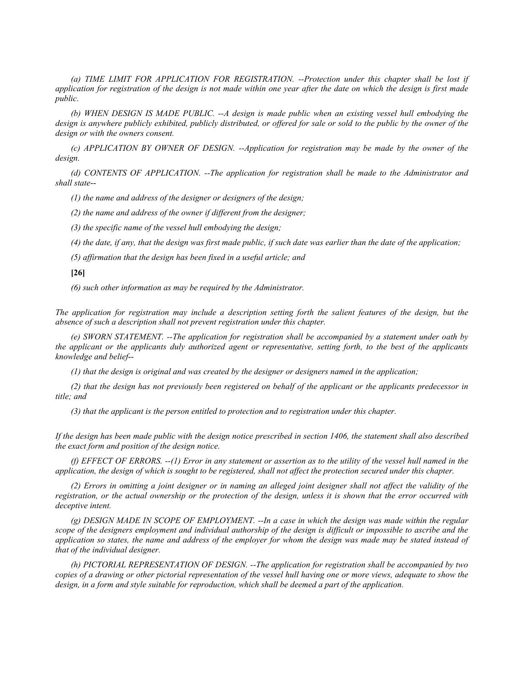*(a) TIME LIMIT FOR APPLICATION FOR REGISTRATION. --Protection under this chapter shall be lost if application for registration of the design is not made within one year after the date on which the design is first made public.*

*(b) WHEN DESIGN IS MADE PUBLIC. --A design is made public when an existing vessel hull embodying the design is anywhere publicly exhibited, publicly distributed, or offered for sale or sold to the public by the owner of the design or with the owners consent.*

*(c) APPLICATION BY OWNER OF DESIGN. --Application for registration may be made by the owner of the design.*

*(d) CONTENTS OF APPLICATION. --The application for registration shall be made to the Administrator and shall state*--

*(1) the name and address of the designer or designers of the design;*

*(2) the name and address of the owner if different from the designer;*

*(3) the specific name of the vessel hull embodying the design;*

*(4) the date, if any, that the design was first made public, if such date was earlier than the date of the application;*

*(5) affirmation that the design has been fixed in a useful article; and*

## **[26]**

*(6) such other information as may be required by the Administrator.*

*The application for registration may include a description setting forth the salient features of the design, but the absence of such a description shall not prevent registration under this chapter.*

*(e) SWORN STATEMENT. --The application for registration shall be accompanied by a statement under oath by the applicant or the applicants duly authorized agent or representative, setting forth, to the best of the applicants knowledge and belief*--

*(1) that the design is original and was created by the designer or designers named in the application;*

*(2) that the design has not previously been registered on behalf of the applicant or the applicants predecessor in title; and*

*(3) that the applicant is the person entitled to protection and to registration under this chapter.*

*If the design has been made public with the design notice prescribed in section 1406, the statement shall also described the exact form and position of the design notice.*

*(f) EFFECT OF ERRORS. --(1) Error in any statement or assertion as to the utility of the vessel hull named in the application, the design of which is sought to be registered, shall not affect the protection secured under this chapter.*

*(2) Errors in omitting a joint designer or in naming an alleged joint designer shall not affect the validity of the registration, or the actual ownership or the protection of the design, unless it is shown that the error occurred with deceptive intent.*

*(g) DESIGN MADE IN SCOPE OF EMPLOYMENT. --In a case in which the design was made within the regular scope of the designers employment and individual authorship of the design is difficult or impossible to ascribe and the application so states, the name and address of the employer for whom the design was made may be stated instead of that of the individual designer.*

*(h) PICTORIAL REPRESENTATION OF DESIGN. --The application for registration shall be accompanied by two copies of a drawing or other pictorial representation of the vessel hull having one or more views, adequate to show the design, in a form and style suitable for reproduction, which shall be deemed a part of the application.*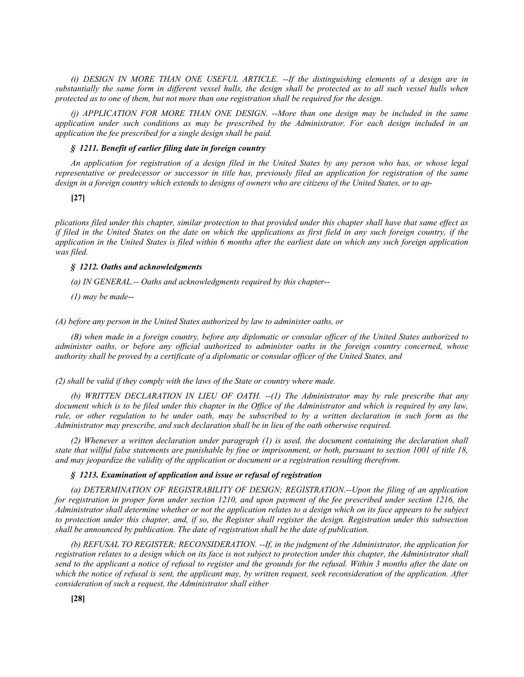*(i) DESIGN IN MORE THAN ONE USEFUL ARTICLE. --If the distinguishing elements of a design are in substantially the same form in different vessel hulls, the design shall be protected as to all such vessel hulls when protected as to one of them, but not more than one registration shall be required for the design.*

*(j) APPLICATION FOR MORE THAN ONE DESIGN. --More than one design may be included in the same application under such conditions as may be prescribed by the Administrator. For each design included in an application the fee prescribed for a single design shall be paid.*

### *§ 1211. Benefit of earlier filing date in foreign country*

*An application for registration of a design filed in the United States by any person who has, or whose legal representative or predecessor or successor in title has, previously filed an application for registration of the same design in a foreign country which extends to designs of owners who are citizens of the United States, or to ap-*

### **[27]**

*plications filed under this chapter, similar protection to that provided under this chapter shall have that same effect as if filed in the United States on the date on which the applications as first field in any such foreign country, if the application in the United States is filed within 6 months after the earliest date on which any such foreign application was filed.*

### *§ 1212. Oaths and acknowledgments*

*(a) IN GENERAL.-- Oaths and acknowledgments required by this chapter*--

*(1) may be made*--

*(A) before any person in the United States authorized by law to administer oaths, or*

*(B) when made in a foreign country, before any diplomatic or consular officer of the United States authorized to administer oaths, or before any official authorized to administer oaths in the foreign country concerned, whose authority shall be proved by a certificate of a diplomatic or consular officer of the United States, and*

*(2) shall be valid if they comply with the laws of the State or country where made.*

*(b) WRITTEN DECLARATION IN LIEU OF OATH. --(1) The Administrator may by rule prescribe that any*  document which is to be filed under this chapter in the Office of the Administrator and which is required by any law, *rule, or other regulation to be under oath, may be subscribed to by a written declaration in such form as the Administrator may prescribe, and such declaration shall be in lieu of the oath otherwise required.*

*(2) Whenever a written declaration under paragraph (1) is used, the document containing the declaration shall state that willful false statements are punishable by fine or imprisonment, or both, pursuant to section 1001 of title 18, and may jeopardize the validity of the application or document or a registration resulting therefrom.*

#### *§ 1213. Examination of application and issue or refusal of registration*

*(a) DETERMINATION OF REGISTRABILITY OF DESIGN; REGISTRATION.--Upon the filing of an application for registration in proper form under section 1210, and upon payment of the fee prescribed under section 1216, the Administrator shall determine whether or not the application relates to a design which on its face appears to be subject to protection under this chapter, and, if so, the Register shall register the design. Registration under this subsection shall be announced by publication. The date of registration shall be the date of publication.*

*(b) REFUSAL TO REGISTER; RECONSIDERATION. --If, in the judgment of the Administrator, the application for registration relates to a design which on its face is not subject to protection under this chapter, the Administrator shall send to the applicant a notice of refusal to register and the grounds for the refusal. Within 3 months after the date on which the notice of refusal is sent, the applicant may, by written request, seek reconsideration of the application. After consideration of such a request, the Administrator shall either*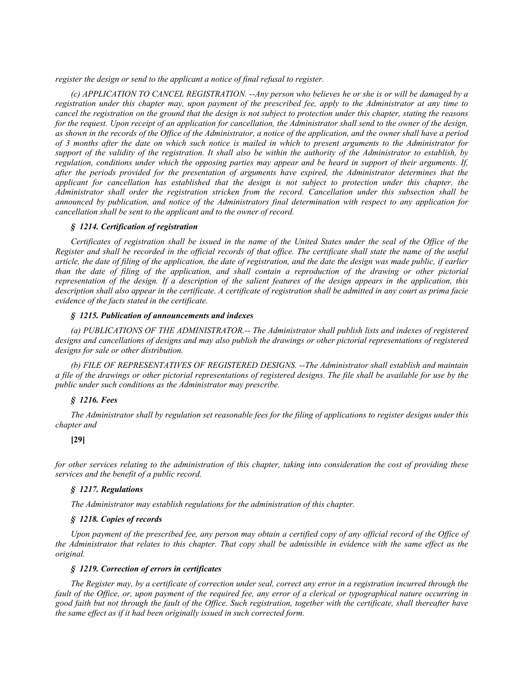*register the design or send to the applicant a notice of final refusal to register.*

*(c) APPLICATION TO CANCEL REGISTRATION. --Any person who believes he or she is or will be damaged by a registration under this chapter may, upon payment of the prescribed fee, apply to the Administrator at any time to cancel the registration on the ground that the design is not subject to protection under this chapter, stating the reasons for the request. Upon receipt of an application for cancellation, the Administrator shall send to the owner of the design, as shown in the records of the Office of the Administrator, a notice of the application, and the owner shall have a period of 3 months after the date on which such notice is mailed in which to present arguments to the Administrator for support of the validity of the registration. It shall also be within the authority of the Administrator to establish, by regulation, conditions under which the opposing parties may appear and be heard in support of their arguments. If, after the periods provided for the presentation of arguments have expired, the Administrator determines that the applicant for cancellation has established that the design is not subject to protection under this chapter, the Administrator shall order the registration stricken from the record. Cancellation under this subsection shall be announced by publication, and notice of the Administrators final determination with respect to any application for cancellation shall be sent to the applicant and to the owner of record.*

# *§ 1214. Certification of registration*

*Certificates of registration shall be issued in the name of the United States under the seal of the Office of the Register and shall be recorded in the official records of that office. The certificate shall state the name of the useful article, the date of filing of the application, the date of registration, and the date the design was made public, if earlier than the date of filing of the application, and shall contain a reproduction of the drawing or other pictorial representation of the design. If a description of the salient features of the design appears in the application, this description shall also appear in the certificate. A certificate of registration shall be admitted in any court as prima facie evidence of the facts stated in the certificate.*

## *§ 1215. Publication of announcements and indexes*

*(a) PUBLICATIONS OF THE ADMINISTRATOR.-- The Administrator shall publish lists and indexes of registered designs and cancellations of designs and may also publish the drawings or other pictorial representations of registered designs for sale or other distribution.*

*(b) FILE OF REPRESENTATIVES OF REGISTERED DESIGNS. --The Administrator shall establish and maintain a file of the drawings or other pictorial representations of registered designs. The file shall be available for use by the public under such conditions as the Administrator may prescribe.*

# *§ 1216. Fees*

*The Administrator shall by regulation set reasonable fees for the filing of applications to register designs under this chapter and*

# **[29]**

*for other services relating to the administration of this chapter, taking into consideration the cost of providing these services and the benefit of a public record.*

## *§ 1217. Regulations*

*The Administrator may establish regulations for the administration of this chapter.*

## *§ 1218. Copies of records*

Upon payment of the prescribed fee, any person may obtain a certified copy of any official record of the Office of *the Administrator that relates to this chapter. That copy shall be admissible in evidence with the same effect as the original.*

# *§ 1219. Correction of errors in certificates*

*The Register may, by a certificate of correction under seal, correct any error in a registration incurred through the fault of the Office, or, upon payment of the required fee, any error of a clerical or typographical nature occurring in good faith but not through the fault of the Office. Such registration, together with the certificate, shall thereafter have the same effect as if it had been originally issued in such corrected form.*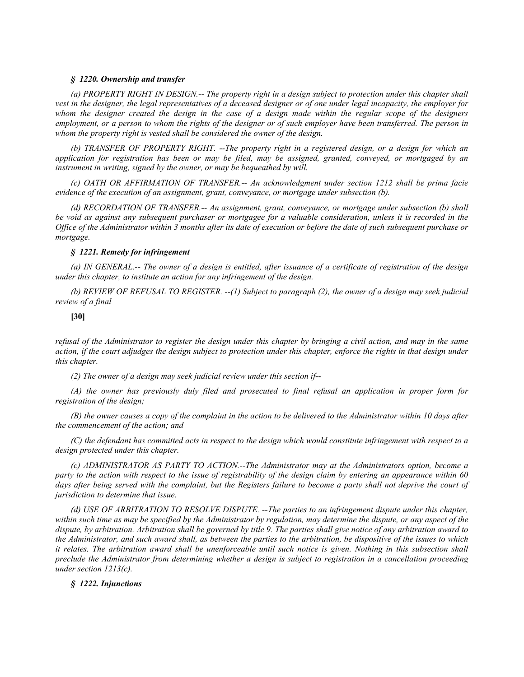# *§ 1220. Ownership and transfer*

*(a) PROPERTY RIGHT IN DESIGN.-- The property right in a design subject to protection under this chapter shall vest in the designer, the legal representatives of a deceased designer or of one under legal incapacity, the employer for whom the designer created the design in the case of a design made within the regular scope of the designers employment, or a person to whom the rights of the designer or of such employer have been transferred. The person in whom the property right is vested shall be considered the owner of the design.*

*(b) TRANSFER OF PROPERTY RIGHT. --The property right in a registered design, or a design for which an application for registration has been or may be filed, may be assigned, granted, conveyed, or mortgaged by an instrument in writing, signed by the owner, or may be bequeathed by will.*

*(c) OATH OR AFFIRMATION OF TRANSFER.-- An acknowledgment under section 1212 shall be prima facie evidence of the execution of an assignment, grant, conveyance, or mortgage under subsection (b).*

*(d) RECORDATION OF TRANSFER.-- An assignment, grant, conveyance, or mortgage under subsection (b) shall be void as against any subsequent purchaser or mortgagee for a valuable consideration, unless it is recorded in the Office of the Administrator within 3 months after its date of execution or before the date of such subsequent purchase or mortgage.*

### *§ 1221. Remedy for infringement*

*(a) IN GENERAL.-- The owner of a design is entitled, after issuance of a certificate of registration of the design under this chapter, to institute an action for any infringement of the design.*

*(b) REVIEW OF REFUSAL TO REGISTER. --(1) Subject to paragraph (2), the owner of a design may seek judicial review of a final*

## **[30]**

*refusal of the Administrator to register the design under this chapter by bringing a civil action, and may in the same action, if the court adjudges the design subject to protection under this chapter, enforce the rights in that design under this chapter.*

*(2) The owner of a design may seek judicial review under this section if*--

*(A) the owner has previously duly filed and prosecuted to final refusal an application in proper form for registration of the design;*

*(B) the owner causes a copy of the complaint in the action to be delivered to the Administrator within 10 days after the commencement of the action; and*

*(C) the defendant has committed acts in respect to the design which would constitute infringement with respect to a design protected under this chapter.*

*(c) ADMINISTRATOR AS PARTY TO ACTION.--The Administrator may at the Administrators option, become a party to the action with respect to the issue of registrability of the design claim by entering an appearance within 60*  days after being served with the complaint, but the Registers failure to become a party shall not deprive the court of *jurisdiction to determine that issue.*

*(d) USE OF ARBITRATION TO RESOLVE DISPUTE. --The parties to an infringement dispute under this chapter, within such time as may be specified by the Administrator by regulation, may determine the dispute, or any aspect of the dispute, by arbitration. Arbitration shall be governed by title 9. The parties shall give notice of any arbitration award to the Administrator, and such award shall, as between the parties to the arbitration, be dispositive of the issues to which*  it relates. The arbitration award shall be unenforceable until such notice is given. Nothing in this subsection shall *preclude the Administrator from determining whether a design is subject to registration in a cancellation proceeding under section 1213(c).*

#### *§ 1222. Injunctions*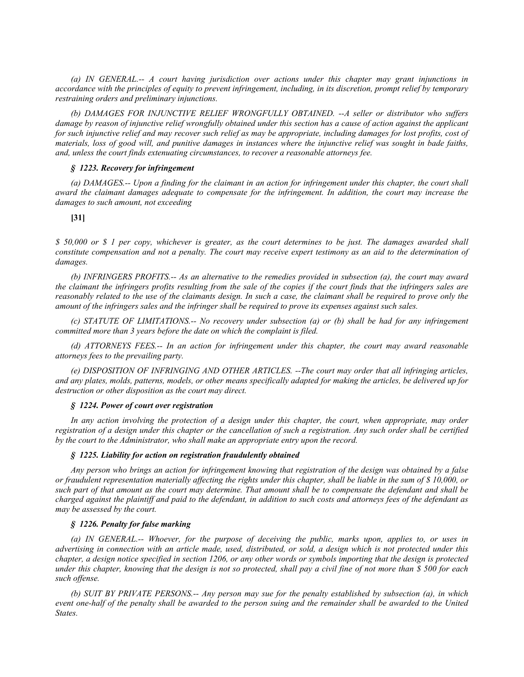*(a) IN GENERAL.-- A court having jurisdiction over actions under this chapter may grant injunctions in accordance with the principles of equity to prevent infringement, including, in its discretion, prompt relief by temporary restraining orders and preliminary injunctions.*

*(b) DAMAGES FOR INJUNCTIVE RELIEF WRONGFULLY OBTAINED. --A seller or distributor who suffers damage by reason of injunctive relief wrongfully obtained under this section has a cause of action against the applicant for such injunctive relief and may recover such relief as may be appropriate, including damages for lost profits, cost of materials, loss of good will, and punitive damages in instances where the injunctive relief was sought in bade faiths, and, unless the court finds extenuating circumstances, to recover a reasonable attorneys fee.*

### *§ 1223. Recovery for infringement*

*(a) DAMAGES.-- Upon a finding for the claimant in an action for infringement under this chapter, the court shall award the claimant damages adequate to compensate for the infringement. In addition, the court may increase the damages to such amount, not exceeding*

#### **[31]**

*\$ 50,000 or \$ 1 per copy, whichever is greater, as the court determines to be just. The damages awarded shall constitute compensation and not a penalty. The court may receive expert testimony as an aid to the determination of damages.*

*(b) INFRINGERS PROFITS.-- As an alternative to the remedies provided in subsection (a), the court may award the claimant the infringers profits resulting from the sale of the copies if the court finds that the infringers sales are reasonably related to the use of the claimants design. In such a case, the claimant shall be required to prove only the amount of the infringers sales and the infringer shall be required to prove its expenses against such sales.*

*(c) STATUTE OF LIMITATIONS.-- No recovery under subsection (a) or (b) shall be had for any infringement committed more than 3 years before the date on which the complaint is filed.*

*(d) ATTORNEYS FEES.-- In an action for infringement under this chapter, the court may award reasonable attorneys fees to the prevailing party.*

*(e) DISPOSITION OF INFRINGING AND OTHER ARTICLES. --The court may order that all infringing articles, and any plates, molds, patterns, models, or other means specifically adapted for making the articles, be delivered up for destruction or other disposition as the court may direct.*

#### *§ 1224. Power of court over registration*

*In any action involving the protection of a design under this chapter, the court, when appropriate, may order registration of a design under this chapter or the cancellation of such a registration. Any such order shall be certified by the court to the Administrator, who shall make an appropriate entry upon the record.*

#### *§ 1225. Liability for action on registration fraudulently obtained*

*Any person who brings an action for infringement knowing that registration of the design was obtained by a false or fraudulent representation materially affecting the rights under this chapter, shall be liable in the sum of \$ 10,000, or such part of that amount as the court may determine. That amount shall be to compensate the defendant and shall be charged against the plaintiff and paid to the defendant, in addition to such costs and attorneys fees of the defendant as may be assessed by the court.*

### *§ 1226. Penalty for false marking*

*(a) IN GENERAL.-- Whoever, for the purpose of deceiving the public, marks upon, applies to, or uses in advertising in connection with an article made, used, distributed, or sold, a design which is not protected under this chapter, a design notice specified in section 1206, or any other words or symbols importing that the design is protected under this chapter, knowing that the design is not so protected, shall pay a civil fine of not more than \$ 500 for each such offense.*

*(b) SUIT BY PRIVATE PERSONS.-- Any person may sue for the penalty established by subsection (a), in which event one-half of the penalty shall be awarded to the person suing and the remainder shall be awarded to the United States.*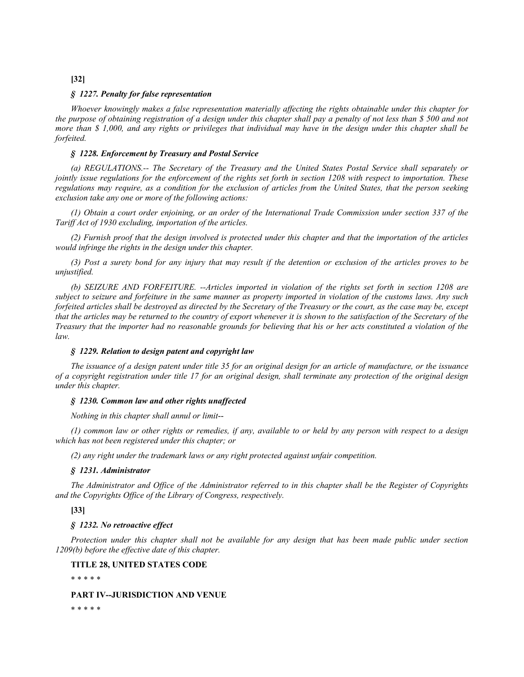# **[32]**

### *§ 1227. Penalty for false representation*

*Whoever knowingly makes a false representation materially affecting the rights obtainable under this chapter for the purpose of obtaining registration of a design under this chapter shall pay a penalty of not less than \$ 500 and not more than \$ 1,000, and any rights or privileges that individual may have in the design under this chapter shall be forfeited.*

### *§ 1228. Enforcement by Treasury and Postal Service*

*(a) REGULATIONS.-- The Secretary of the Treasury and the United States Postal Service shall separately or jointly issue regulations for the enforcement of the rights set forth in section 1208 with respect to importation. These regulations may require, as a condition for the exclusion of articles from the United States, that the person seeking exclusion take any one or more of the following actions:*

*(1) Obtain a court order enjoining, or an order of the International Trade Commission under section 337 of the Tariff Act of 1930 excluding, importation of the articles.*

*(2) Furnish proof that the design involved is protected under this chapter and that the importation of the articles would infringe the rights in the design under this chapter.*

*(3) Post a surety bond for any injury that may result if the detention or exclusion of the articles proves to be unjustified.*

*(b) SEIZURE AND FORFEITURE. --Articles imported in violation of the rights set forth in section 1208 are subject to seizure and forfeiture in the same manner as property imported in violation of the customs laws. Any such forfeited articles shall be destroyed as directed by the Secretary of the Treasury or the court, as the case may be, except that the articles may be returned to the country of export whenever it is shown to the satisfaction of the Secretary of the Treasury that the importer had no reasonable grounds for believing that his or her acts constituted a violation of the law.*

#### *§ 1229. Relation to design patent and copyright law*

*The issuance of a design patent under title 35 for an original design for an article of manufacture, or the issuance of a copyright registration under title 17 for an original design, shall terminate any protection of the original design under this chapter.*

#### *§ 1230. Common law and other rights unaffected*

*Nothing in this chapter shall annul or limit*--

*(1) common law or other rights or remedies, if any, available to or held by any person with respect to a design which has not been registered under this chapter; or*

*(2) any right under the trademark laws or any right protected against unfair competition.*

### *§ 1231. Administrator*

*The Administrator and Office of the Administrator referred to in this chapter shall be the Register of Copyrights and the Copyrights Office of the Library of Congress, respectively.*

**[33]**

#### *§ 1232. No retroactive effect*

*Protection under this chapter shall not be available for any design that has been made public under section 1209(b) before the effective date of this chapter.*

**TITLE 28, UNITED STATES CODE**

\* \* \* \* \*

# **PART IV--JURISDICTION AND VENUE**

\* \* \* \* \*